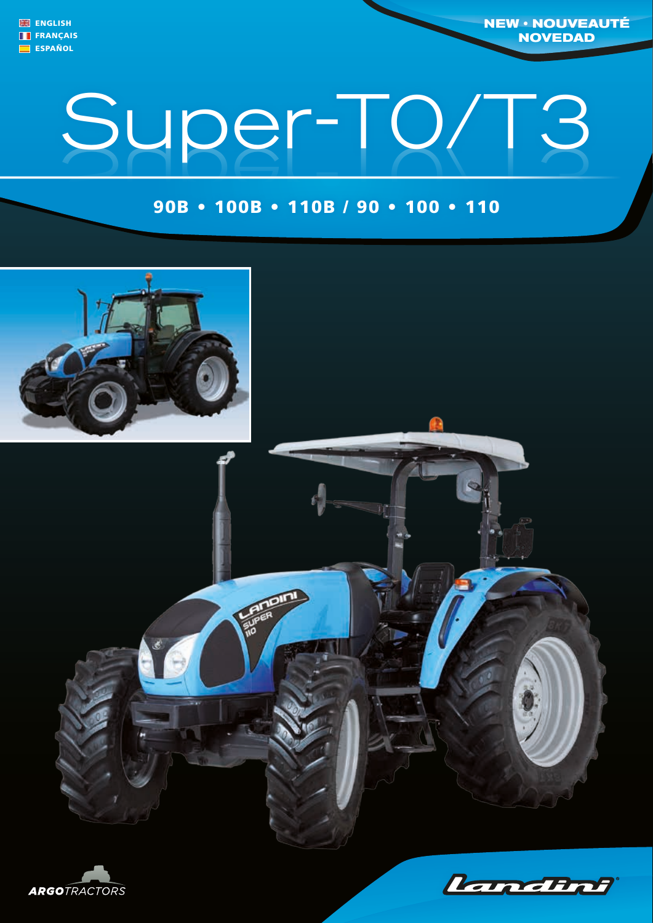

**NEW • NOUVEAUTÉ NOVEDAD**

## Super-T0/T3

## 90B • 100B • 110B / 90 • 100 • 110





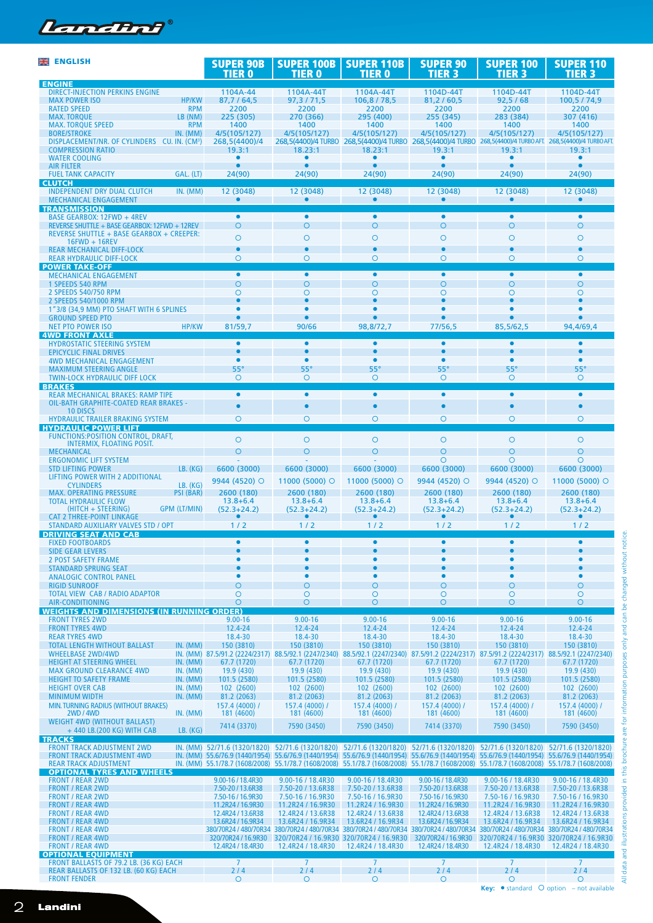

| <b>ENGINE</b><br>1104A-44<br>1104A-44T<br><b>DIRECT-INJECTION PERKINS ENGINE</b><br>1104A-44T<br>1104D-44T<br>1104D-44T<br>1104D-44T<br><b>HP/KW</b><br>92,5/68<br><b>MAX POWER ISO</b><br>87,7/64,5<br>97,3 / 71,5<br>106,8 / 78,5<br>81,2/60,5<br>100,5 / 74,9<br><b>RATED SPEED</b><br><b>RPM</b><br>2200<br>2200<br>2200<br>2200<br>2200<br>2200<br>LB (NM)<br>225 (305)<br>295 (400)<br><b>MAX. TORQUE</b><br>270 (366)<br>255 (345)<br>283 (384)<br>307 (416)<br>1400<br><b>MAX. TORQUE SPEED</b><br><b>RPM</b><br>1400<br>1400<br>1400<br>1400<br>1400<br>4/5(105/127)<br>4/5(105/127)<br>4/5(105/127)<br><b>BORE/STROKE</b><br>IN. (MM)<br>4/5(105/127)<br>4/5(105/127)<br>4/5(105/127)<br>DISPLACEMENT/NR. OF CYLINDERS CU. IN. (CM <sup>3</sup> )<br>268,5(4400)/4<br>268,5(4400)/4 TURBO 268,5(4400)/4 TURBO 268,5(4400)/4 TURBO 268,5(4400)/4 TURBO AFT. 268,5(4400)/4 TURBO AFT.<br><b>COMPRESSION RATIO</b><br>19.3:1<br>18.23:1<br>18.23:1<br>19.3:1<br>19.3:1<br>19.3:1<br><b>WATER COOLING</b><br>$\bullet$<br>$\bullet$<br>$\bullet$<br>$\bullet$<br>٠<br>٠<br>$\bullet$<br>$\bullet$<br>$\bullet$<br>$\bullet$<br><b>AIR FILTER</b><br>$\bullet$<br>$\bullet$<br>24(90)<br>24(90)<br>24(90)<br>24(90)<br>24(90)<br>GAL. (LT)<br>24(90)<br><b>FUEL TANK CAPACITY</b><br><b>CLUTCH</b><br>IN. (MM)<br>12 (3048)<br>12 (3048)<br>12 (3048)<br>12 (3048)<br>12 (3048)<br>12 (3048)<br>INDEPENDENT DRY DUAL CLUTCH<br><b>MECHANICAL ENGAGEMENT</b><br>$\bullet$<br>$\bullet$<br>$\bullet$<br>$\bullet$<br>$\bullet$<br>$\bullet$<br><b>TRANSMISSION</b><br><b>BASE GEARBOX: 12FWD + 4REV</b><br>$\bullet$<br>$\bullet$<br>$\bullet$<br>$\bullet$<br>$\bullet$<br>$\bullet$<br>$\circ$<br>REVERSE SHUTTLE + BASE GEARBOX: 12FWD + 12REV<br>O<br>$\circ$<br>$\circ$<br>O<br>$\circ$<br>REVERSE SHUTTLE + BASE GEARBOX + CREEPER:<br>$\circ$<br>$\circ$<br>$\circ$<br>$\circ$<br>$\circ$<br>O<br>$16$ FWD + 16REV<br>$\bullet$<br><b>REAR MECHANICAL DIFF-LOCK</b><br>$\bullet$<br>$\bullet$<br>$\bullet$<br>$\bullet$<br>$\bullet$<br>$\circ$<br>O<br>$\circ$<br>$\circ$<br>O<br><b>REAR HYDRAULIC DIFF-LOCK</b><br>O<br><b>POWER TAKE-OFF</b><br>$\bullet$<br>$\bullet$<br>$\bullet$<br>$\bullet$<br><b>MECHANICAL ENGAGEMENT</b><br>$\bullet$<br>$\bullet$<br>$\circ$<br>$\circ$<br>$\circ$<br>1 SPEEDS 540 RPM<br>O<br>$\circ$<br>$\circ$<br>$\circ$<br>$\circ$<br>$\circ$<br>$\circ$<br>2 SPEEDS 540/750 RPM<br>O<br>O<br>٠<br>2 SPEEDS 540/1000 RPM<br>٠<br>$\bullet$<br>1"3/8 (34,9 MM) PTO SHAFT WITH 6 SPLINES<br><b>GROUND SPEED PTO</b><br><b>NET PTO POWER ISO</b><br><b>HP/KW</b><br>81/59,7<br>90/66<br>98,8/72,7<br>77/56,5<br>85,5/62,5<br>94,4/69,4<br><b>4WD FRONT AXLE</b><br><b>HYDROSTATIC STEERING SYSTEM</b><br>$\bullet$<br>$\bullet$<br>۰<br>٠<br><b>EPICYCLIC FINAL DRIVES</b><br><b>4WD MECHANICAL ENGAGEMENT</b><br>$\bullet$<br>$\bullet$<br>٠<br>$\bullet$<br>55°<br>55 <sup>o</sup><br>55°<br>$55^\circ$<br>55 <sup>°</sup><br>$55^\circ$<br><b>MAXIMUM STEERING ANGLE</b><br>$\circ$<br><b>TWIN-LOCK HYDRAULIC DIFF LOCK</b><br>$\circ$<br>$\circ$<br>$\circ$<br>$\circ$<br>$\circ$<br><b>BRAKES</b><br>$\bullet$<br>$\bullet$<br>$\bullet$<br>$\bullet$<br>$\bullet$<br><b>REAR MECHANICAL BRAKES: RAMP TIPE</b><br>$\bullet$<br>OIL-BATH GRAPHITE-COATED REAR BRAKES -<br>٠<br>$\bullet$<br>$\bullet$<br>$\bullet$<br>$\bullet$<br>$\bullet$<br>10 DISCS<br>O<br>O<br>$\circ$<br>O<br>$\circ$<br>$\circ$<br><b>HYDRAULIC TRAILER BRAKING SYSTEM</b><br><b>HYDRAULIC POWER LIFT</b><br><b>FUNCTIONS: POSITION CONTROL, DRAFT,</b><br>$\circ$<br>$\circ$<br>$\circ$<br>O<br>$\circ$<br>$\circ$<br>INTERMIX, FLOATING POSIT.<br>$\circ$<br>$\circ$<br>$\circ$<br>$\circ$<br>$\circ$<br><b>MECHANICAL</b><br>$\Omega$<br>$\circ$<br>$\circ$<br>O<br><b>ERGONOMIC LIFT SYSTEM</b><br>LB. (KG)<br>6600 (3000)<br>6600 (3000)<br>6600 (3000)<br>6600 (3000)<br>6600 (3000)<br>6600 (3000)<br><b>STD LIFTING POWER</b><br>LIFTING POWER WITH 2 ADDITIONAL<br>11000 (5000) O<br>11000 (5000) O<br>9944 (4520) ○<br>9944 (4520) O<br>11000 (5000) O<br>9944 (4520) ○<br>$LB.$ (KG)<br><b>CYLINDERS</b><br>2600 (180)<br>2600 (180)<br>2600 (180)<br>2600 (180)<br>2600 (180)<br><b>MAX. OPERATING PRESSURE</b><br>PSI (BAR)<br>2600 (180)<br>$13.8 + 6.4$<br><b>TOTAL HYDRAULIC FLOW</b><br>$13.8 + 6.4$<br>$13.8 + 6.4$<br>$13.8 + 6.4$<br>$13.8 + 6.4$<br>$13.8 + 6.4$<br>$(HITCH + STEERING)$<br>GPM (LT/MIN)<br>$(52.3+24.2)$<br>$(52.3+24.2)$<br>$(52.3+24.2)$<br>$(52.3+24.2)$<br>$(52.3+24.2)$<br>$(52.3+24.2)$<br><b>CAT 2 THREE-POINT LINKAGE</b><br>1/2<br>STANDARD AUXILIARY VALVES STD / OPT<br>1/2<br>1/2<br>1/2<br>1/2<br>1/2<br><b>DRIVING SEAT AND CAB</b><br><b>FIXED FOOTBOARDS</b><br>$\bullet$<br>$\bullet$<br>$\bullet$<br>$\bullet$<br>$\bullet$<br>$\bullet$<br><b>SIDE GEAR LEVERS</b><br>2 POST SAFETY FRAME<br><b>STANDARD SPRUNG SEAT</b><br><b>ANALOGIC CONTROL PANEL</b><br>٠<br>$\circ$<br>$\Omega$<br>$\Omega$<br>$\circ$<br>$\circ$<br><b>RIGID SUNROOF</b><br>$\Omega$<br>$\circ$<br>TOTAL VIEW CAB / RADIO ADAPTOR<br>O<br>O<br>$\circ$<br>$\circ$<br>$\circ$<br>$\circ$<br>$\circ$<br>$\circ$<br>$\circ$<br>$\circ$<br>$\circ$<br><b>AIR-CONDITIONING</b><br><b>WEIGHTS AND DIMENSIONS (IN RUNNING ORDER)</b><br>$9.00 - 16$<br>$9.00 - 16$<br>$9.00 - 16$<br>$9.00 - 16$<br>$9.00 - 16$<br>$9.00 - 16$<br><b>FRONT TYRES 2WD</b><br>12.4-24<br>12.4-24<br>12.4-24<br>12.4-24<br><b>FRONT TYRES 4WD</b><br>12.4-24<br>12.4-24<br><b>REAR TYRES 4WD</b><br>18.4-30<br>18.4-30<br>18.4-30<br>18.4-30<br>18.4-30<br>18.4-30<br>150 (3810)<br>150 (3810)<br>150 (3810)<br>150 (3810)<br>150 (3810)<br>150 (3810)<br><b>TOTAL LENGTH WITHOUT BALLAST</b><br>IN. (MM)<br>IN. (MM) 87.5/91.2 (2224/2317) 88.5/92.1 (2247/2340) 88.5/92.1 (2247/2340) 87.5/91.2 (2224/2317) 87.5/91.2 (2224/2317) 88.5/92.1 (2247/2340)<br><b>WHEELBASE 2WD/4WD</b><br><b>HEIGHT AT STEERING WHEEL</b><br>67.7 (1720)<br>67.7 (1720)<br>IN. (MM)<br>67.7 (1720)<br>67.7 (1720)<br>67.7 (1720)<br>67.7 (1720)<br><b>MAX GROUND CLEARANCE 4WD</b><br>IN. (MM)<br>19.9 (430)<br>19.9 (430)<br>19.9(430)<br>19.9 (430)<br>19.9 (430)<br>19.9 (430)<br><b>HEIGHT TO SAFETY FRAME</b><br>IN. (MM)<br>101.5 (2580)<br>101.5 (2580)<br>101.5 (2580)<br>101.5 (2580)<br>101.5 (2580)<br>101.5 (2580)<br><b>HEIGHT OVER CAB</b><br>IN. (MM)<br>102 (2600)<br>102 (2600)<br>102 (2600)<br>102 (2600)<br>102 (2600)<br>102 (2600)<br><b>MINIMUM WIDTH</b><br>81.2 (2063)<br>81.2 (2063)<br>81.2 (2063)<br>IN. (MM)<br>81.2 (2063)<br>81.2 (2063)<br>81.2 (2063)<br>157.4 (4000) /<br><b>MIN. TURNING RADIUS (WITHOUT BRAKES)</b><br>157.4 (4000) /<br>157.4 (4000) /<br>157.4 (4000) /<br>157.4 (4000) /<br>157.4 (4000) /<br><b>2WD/4WD</b><br>IN. (MM)<br>181 (4600)<br>181 (4600)<br>181 (4600)<br>181 (4600)<br>181 (4600)<br>181 (4600)<br><b>WEIGHT 4WD (WITHOUT BALLAST)</b><br>7414 (3370)<br>7590 (3450)<br>7590 (3450)<br>7414 (3370)<br>7590 (3450)<br>7590 (3450)<br>+440 LB. (200 KG) WITH CAB<br>LB. (KG)<br><b>TRACKS</b><br>IN. (MM) 52/71.6 (1320/1820) 52/71.6 (1320/1820) 52/71.6 (1320/1820) 52/71.6 (1320/1820) 52/71.6 (1320/1820)<br><b>FRONT TRACK ADJUSTMENT 2WD</b><br>52/71.6 (1320/1820)<br><b>FRONT TRACK ADJUSTMENT 4WD</b><br>IN. (MM) 55.6/76.9 (1440/1954) 55.6/76.9 (1440/1954) 55.6/76.9 (1440/1954) 55.6/76.9 (1440/1954) 55.6/76.9 (1440/1954) 55.6/76.9 (1440/1954)<br>IN. (MM) 55.1/78.7 (1608/2008) 55.1/78.7 (1608/2008) 55.1/78.7 (1608/2008) 55.1/78.7 (1608/2008) 55.1/78.7 (1608/2008) 55.1/78.7 (1608/2008)<br><b>REAR TRACK ADJUSTMENT</b><br><b>OPTIONAL TYRES AND WHEELS</b><br>9.00-16 / 18.4R30<br>9.00-16 / 18.4R30<br>9.00-16 / 18.4R30<br>9.00-16 / 18.4R30<br>9.00-16 / 18.4R30<br><b>FRONT / REAR 2WD</b><br>9.00-16 / 18.4R30<br><b>FRONT / REAR 2WD</b><br>7.50-20 / 13.6R38<br>7.50-20 / 13.6R38<br>7.50-20 / 13.6R38<br>7.50-20 / 13.6R38<br>7.50-20 / 13.6R38<br>7.50-20 / 13.6R38<br><b>FRONT / REAR 2WD</b><br>7.50-16 / 16.9R30<br>7.50-16 / 16.9R30<br>7.50-16 / 16.9R30<br>7.50-16 / 16.9R30<br>7.50-16 / 16.9R30<br>7.50-16 / 16.9R30<br>11.2R24 / 16.9R30<br><b>FRONT / REAR 4WD</b><br>11.2R24 / 16.9R30<br>11.2R24 / 16.9R30<br>11.2R24 / 16.9R30<br>11.2R24 / 16.9R30<br>11.2R24 / 16.9R30<br>12.4R24 / 13.6R38<br><b>FRONT / REAR 4WD</b><br>12.4R24 / 13.6R38<br>12.4R24 / 13.6R38<br>12.4R24 / 13.6R38<br>12.4R24 / 13.6R38<br>12.4R24 / 13.6R38<br>13.6R24 / 16.9R34<br>13.6R24 / 16.9R34<br><b>FRONT / REAR 4WD</b><br>13.6R24 / 16.9R34<br>13.6R24 / 16.9R34<br>13.6R24 / 16.9R34<br>13.6R24 / 16.9R34<br><b>FRONT / REAR 4WD</b><br>380/70R24 / 480/70R34 380/70R24 / 480/70R34<br>380/70R24 / 480/70R34 380/70R24 / 480/70R34<br>380/70R24 / 480/70R34 380/70R24 / 480/70R34<br><b>FRONT / REAR 4WD</b><br>320/70R24 / 16.9R30<br>320/70R24 / 16.9R30 320/70R24 / 16.9R30<br>320/70R24 / 16.9R30<br>320/70R24 / 16.9R30 320/70R24 / 16.9R30<br><b>FRONT / REAR 4WD</b><br>12.4R24 / 18.4R30<br>12.4R24 / 18.4R30<br>12.4R24 / 18.4R30<br>12.4R24 / 18.4R30<br>12.4R24 / 18.4R30<br>12.4R24 / 18.4R30<br><b>OPTIONAL EQUIPMENT</b><br>$\overline{7}$<br>FRONT BALLASTS OF 79.2 LB. (36 KG) EACH<br>$\overline{7}$<br>$\overline{7}$<br>$\overline{7}$<br>$\overline{7}$<br>$\overline{7}$<br>2/4<br>2/4<br>2/4<br>2/4<br>2/4<br>2/4<br>REAR BALLASTS OF 132 LB. (60 KG) EACH<br><b>FRONT FENDER</b><br>$\circ$<br>O<br>$\Omega$<br>$\circ$<br>$\circ$<br>$\circ$ | <b>ENGLISH</b> | <b>SUPER 90B</b><br><b>TIER 0</b> | <b>SUPER 100B</b><br><b>TIER 0</b> | <b>SUPER 110B</b><br><b>TIER 0</b> | <b>SUPER 90</b><br><b>TIER 3</b> | <b>SUPER 100</b><br><b>TIER 3</b> | <b>SUPER 110</b><br><b>TIER 3</b> |
|----------------------------------------------------------------------------------------------------------------------------------------------------------------------------------------------------------------------------------------------------------------------------------------------------------------------------------------------------------------------------------------------------------------------------------------------------------------------------------------------------------------------------------------------------------------------------------------------------------------------------------------------------------------------------------------------------------------------------------------------------------------------------------------------------------------------------------------------------------------------------------------------------------------------------------------------------------------------------------------------------------------------------------------------------------------------------------------------------------------------------------------------------------------------------------------------------------------------------------------------------------------------------------------------------------------------------------------------------------------------------------------------------------------------------------------------------------------------------------------------------------------------------------------------------------------------------------------------------------------------------------------------------------------------------------------------------------------------------------------------------------------------------------------------------------------------------------------------------------------------------------------------------------------------------------------------------------------------------------------------------------------------------------------------------------------------------------------------------------------------------------------------------------------------------------------------------------------------------------------------------------------------------------------------------------------------------------------------------------------------------------------------------------------------------------------------------------------------------------------------------------------------------------------------------------------------------------------------------------------------------------------------------------------------------------------------------------------------------------------------------------------------------------------------------------------------------------------------------------------------------------------------------------------------------------------------------------------------------------------------------------------------------------------------------------------------------------------------------------------------------------------------------------------------------------------------------------------------------------------------------------------------------------------------------------------------------------------------------------------------------------------------------------------------------------------------------------------------------------------------------------------------------------------------------------------------------------------------------------------------------------------------------------------------------------------------------------------------------------------------------------------------------------------------------------------------------------------------------------------------------------------------------------------------------------------------------------------------------------------------------------------------------------------------------------------------------------------------------------------------------------------------------------------------------------------------------------------------------------------------------------------------------------------------------------------------------------------------------------------------------------------------------------------------------------------------------------------------------------------------------------------------------------------------------------------------------------------------------------------------------------------------------------------------------------------------------------------------------------------------------------------------------------------------------------------------------------------------------------------------------------------------------------------------------------------------------------------------------------------------------------------------------------------------------------------------------------------------------------------------------------------------------------------------------------------------------------------------------------------------------------------------------------------------------------------------------------------------------------------------------------------------------------------------------------------------------------------------------------------------------------------------------------------------------------------------------------------------------------------------------------------------------------------------------------------------------------------------------------------------------------------------------------------------------------------------------------------------------------------------------------------------------------------------------------------------------------------------------------------------------------------------------------------------------------------------------------------------------------------------------------------------------------------------------------------------------------------------------------------------------------------------------------------------------------------------------------------------------------------------------------------------------------------------------------------------------------------------------------------------------------------------------------------------------------------------------------------------------------------------------------------------------------------------------------------------------------------------------------------------------------------------------------------------------------------------------------------------------------------------------------------------------------------------------------------------------------------------------------------------------------------------------------------------------------------------------------------------------------------------------------------------------------------------------------------------------------------------------------------------------------------------------------------------------------------------------------------------------------------------------------------------------------------------------------------------------------------------------------------------------------------------------------------------------------------------------------------------------------------------------------------------------------------------------------------------------------------------------------------------------------------------------------------------------------------------------------------------------------------------------------------------------------------------------------------------------------------------------------------------------------------------------------------------------------------------------------------------------------------------------------------------------------------------------------------------------------------------------------------------------------------------------------------------------------------------------------------------------------------------------------------------------------------------------------------------------------------------------------------------------------------------------------------------------------------------------------------------------------------------------------------------------------------------------------------------------------------------------------------------------------------------------------------------------------------------------------------------------------------------------------------------------------------------------------------------------------------------------------------------------------------------------------------------------------------------------------------------------------------------------------------------------------------------------------------------------------------------------------------------------------------------------------------------------------------------------------------------------------------------------------------------------------------------------------------------------------------------------------|----------------|-----------------------------------|------------------------------------|------------------------------------|----------------------------------|-----------------------------------|-----------------------------------|
|                                                                                                                                                                                                                                                                                                                                                                                                                                                                                                                                                                                                                                                                                                                                                                                                                                                                                                                                                                                                                                                                                                                                                                                                                                                                                                                                                                                                                                                                                                                                                                                                                                                                                                                                                                                                                                                                                                                                                                                                                                                                                                                                                                                                                                                                                                                                                                                                                                                                                                                                                                                                                                                                                                                                                                                                                                                                                                                                                                                                                                                                                                                                                                                                                                                                                                                                                                                                                                                                                                                                                                                                                                                                                                                                                                                                                                                                                                                                                                                                                                                                                                                                                                                                                                                                                                                                                                                                                                                                                                                                                                                                                                                                                                                                                                                                                                                                                                                                                                                                                                                                                                                                                                                                                                                                                                                                                                                                                                                                                                                                                                                                                                                                                                                                                                                                                                                                                                                                                                                                                                                                                                                                                                                                                                                                                                                                                                                                                                                                                                                                                                                                                                                                                                                                                                                                                                                                                                                                                                                                                                                                                                                                                                                                                                                                                                                                                                                                                                                                                                                                                                                                                                                                                                                                                                                                                                                                                                                                                                                                                                                                                                                                                                                                                                                                                                                                                                                                                                                                                                                                                                                                                                                                                                                                                                                                                                                                                                                                                                                                                                                                                                                                                                                                                                                                                                                                                                                                                                                                                  |                |                                   |                                    |                                    |                                  |                                   |                                   |
|                                                                                                                                                                                                                                                                                                                                                                                                                                                                                                                                                                                                                                                                                                                                                                                                                                                                                                                                                                                                                                                                                                                                                                                                                                                                                                                                                                                                                                                                                                                                                                                                                                                                                                                                                                                                                                                                                                                                                                                                                                                                                                                                                                                                                                                                                                                                                                                                                                                                                                                                                                                                                                                                                                                                                                                                                                                                                                                                                                                                                                                                                                                                                                                                                                                                                                                                                                                                                                                                                                                                                                                                                                                                                                                                                                                                                                                                                                                                                                                                                                                                                                                                                                                                                                                                                                                                                                                                                                                                                                                                                                                                                                                                                                                                                                                                                                                                                                                                                                                                                                                                                                                                                                                                                                                                                                                                                                                                                                                                                                                                                                                                                                                                                                                                                                                                                                                                                                                                                                                                                                                                                                                                                                                                                                                                                                                                                                                                                                                                                                                                                                                                                                                                                                                                                                                                                                                                                                                                                                                                                                                                                                                                                                                                                                                                                                                                                                                                                                                                                                                                                                                                                                                                                                                                                                                                                                                                                                                                                                                                                                                                                                                                                                                                                                                                                                                                                                                                                                                                                                                                                                                                                                                                                                                                                                                                                                                                                                                                                                                                                                                                                                                                                                                                                                                                                                                                                                                                                                                                                  |                |                                   |                                    |                                    |                                  |                                   |                                   |
|                                                                                                                                                                                                                                                                                                                                                                                                                                                                                                                                                                                                                                                                                                                                                                                                                                                                                                                                                                                                                                                                                                                                                                                                                                                                                                                                                                                                                                                                                                                                                                                                                                                                                                                                                                                                                                                                                                                                                                                                                                                                                                                                                                                                                                                                                                                                                                                                                                                                                                                                                                                                                                                                                                                                                                                                                                                                                                                                                                                                                                                                                                                                                                                                                                                                                                                                                                                                                                                                                                                                                                                                                                                                                                                                                                                                                                                                                                                                                                                                                                                                                                                                                                                                                                                                                                                                                                                                                                                                                                                                                                                                                                                                                                                                                                                                                                                                                                                                                                                                                                                                                                                                                                                                                                                                                                                                                                                                                                                                                                                                                                                                                                                                                                                                                                                                                                                                                                                                                                                                                                                                                                                                                                                                                                                                                                                                                                                                                                                                                                                                                                                                                                                                                                                                                                                                                                                                                                                                                                                                                                                                                                                                                                                                                                                                                                                                                                                                                                                                                                                                                                                                                                                                                                                                                                                                                                                                                                                                                                                                                                                                                                                                                                                                                                                                                                                                                                                                                                                                                                                                                                                                                                                                                                                                                                                                                                                                                                                                                                                                                                                                                                                                                                                                                                                                                                                                                                                                                                                                                  |                |                                   |                                    |                                    |                                  |                                   |                                   |
|                                                                                                                                                                                                                                                                                                                                                                                                                                                                                                                                                                                                                                                                                                                                                                                                                                                                                                                                                                                                                                                                                                                                                                                                                                                                                                                                                                                                                                                                                                                                                                                                                                                                                                                                                                                                                                                                                                                                                                                                                                                                                                                                                                                                                                                                                                                                                                                                                                                                                                                                                                                                                                                                                                                                                                                                                                                                                                                                                                                                                                                                                                                                                                                                                                                                                                                                                                                                                                                                                                                                                                                                                                                                                                                                                                                                                                                                                                                                                                                                                                                                                                                                                                                                                                                                                                                                                                                                                                                                                                                                                                                                                                                                                                                                                                                                                                                                                                                                                                                                                                                                                                                                                                                                                                                                                                                                                                                                                                                                                                                                                                                                                                                                                                                                                                                                                                                                                                                                                                                                                                                                                                                                                                                                                                                                                                                                                                                                                                                                                                                                                                                                                                                                                                                                                                                                                                                                                                                                                                                                                                                                                                                                                                                                                                                                                                                                                                                                                                                                                                                                                                                                                                                                                                                                                                                                                                                                                                                                                                                                                                                                                                                                                                                                                                                                                                                                                                                                                                                                                                                                                                                                                                                                                                                                                                                                                                                                                                                                                                                                                                                                                                                                                                                                                                                                                                                                                                                                                                                                                  |                |                                   |                                    |                                    |                                  |                                   |                                   |
|                                                                                                                                                                                                                                                                                                                                                                                                                                                                                                                                                                                                                                                                                                                                                                                                                                                                                                                                                                                                                                                                                                                                                                                                                                                                                                                                                                                                                                                                                                                                                                                                                                                                                                                                                                                                                                                                                                                                                                                                                                                                                                                                                                                                                                                                                                                                                                                                                                                                                                                                                                                                                                                                                                                                                                                                                                                                                                                                                                                                                                                                                                                                                                                                                                                                                                                                                                                                                                                                                                                                                                                                                                                                                                                                                                                                                                                                                                                                                                                                                                                                                                                                                                                                                                                                                                                                                                                                                                                                                                                                                                                                                                                                                                                                                                                                                                                                                                                                                                                                                                                                                                                                                                                                                                                                                                                                                                                                                                                                                                                                                                                                                                                                                                                                                                                                                                                                                                                                                                                                                                                                                                                                                                                                                                                                                                                                                                                                                                                                                                                                                                                                                                                                                                                                                                                                                                                                                                                                                                                                                                                                                                                                                                                                                                                                                                                                                                                                                                                                                                                                                                                                                                                                                                                                                                                                                                                                                                                                                                                                                                                                                                                                                                                                                                                                                                                                                                                                                                                                                                                                                                                                                                                                                                                                                                                                                                                                                                                                                                                                                                                                                                                                                                                                                                                                                                                                                                                                                                                                                  |                |                                   |                                    |                                    |                                  |                                   |                                   |
|                                                                                                                                                                                                                                                                                                                                                                                                                                                                                                                                                                                                                                                                                                                                                                                                                                                                                                                                                                                                                                                                                                                                                                                                                                                                                                                                                                                                                                                                                                                                                                                                                                                                                                                                                                                                                                                                                                                                                                                                                                                                                                                                                                                                                                                                                                                                                                                                                                                                                                                                                                                                                                                                                                                                                                                                                                                                                                                                                                                                                                                                                                                                                                                                                                                                                                                                                                                                                                                                                                                                                                                                                                                                                                                                                                                                                                                                                                                                                                                                                                                                                                                                                                                                                                                                                                                                                                                                                                                                                                                                                                                                                                                                                                                                                                                                                                                                                                                                                                                                                                                                                                                                                                                                                                                                                                                                                                                                                                                                                                                                                                                                                                                                                                                                                                                                                                                                                                                                                                                                                                                                                                                                                                                                                                                                                                                                                                                                                                                                                                                                                                                                                                                                                                                                                                                                                                                                                                                                                                                                                                                                                                                                                                                                                                                                                                                                                                                                                                                                                                                                                                                                                                                                                                                                                                                                                                                                                                                                                                                                                                                                                                                                                                                                                                                                                                                                                                                                                                                                                                                                                                                                                                                                                                                                                                                                                                                                                                                                                                                                                                                                                                                                                                                                                                                                                                                                                                                                                                                                                  |                |                                   |                                    |                                    |                                  |                                   |                                   |
|                                                                                                                                                                                                                                                                                                                                                                                                                                                                                                                                                                                                                                                                                                                                                                                                                                                                                                                                                                                                                                                                                                                                                                                                                                                                                                                                                                                                                                                                                                                                                                                                                                                                                                                                                                                                                                                                                                                                                                                                                                                                                                                                                                                                                                                                                                                                                                                                                                                                                                                                                                                                                                                                                                                                                                                                                                                                                                                                                                                                                                                                                                                                                                                                                                                                                                                                                                                                                                                                                                                                                                                                                                                                                                                                                                                                                                                                                                                                                                                                                                                                                                                                                                                                                                                                                                                                                                                                                                                                                                                                                                                                                                                                                                                                                                                                                                                                                                                                                                                                                                                                                                                                                                                                                                                                                                                                                                                                                                                                                                                                                                                                                                                                                                                                                                                                                                                                                                                                                                                                                                                                                                                                                                                                                                                                                                                                                                                                                                                                                                                                                                                                                                                                                                                                                                                                                                                                                                                                                                                                                                                                                                                                                                                                                                                                                                                                                                                                                                                                                                                                                                                                                                                                                                                                                                                                                                                                                                                                                                                                                                                                                                                                                                                                                                                                                                                                                                                                                                                                                                                                                                                                                                                                                                                                                                                                                                                                                                                                                                                                                                                                                                                                                                                                                                                                                                                                                                                                                                                                                  |                |                                   |                                    |                                    |                                  |                                   |                                   |
|                                                                                                                                                                                                                                                                                                                                                                                                                                                                                                                                                                                                                                                                                                                                                                                                                                                                                                                                                                                                                                                                                                                                                                                                                                                                                                                                                                                                                                                                                                                                                                                                                                                                                                                                                                                                                                                                                                                                                                                                                                                                                                                                                                                                                                                                                                                                                                                                                                                                                                                                                                                                                                                                                                                                                                                                                                                                                                                                                                                                                                                                                                                                                                                                                                                                                                                                                                                                                                                                                                                                                                                                                                                                                                                                                                                                                                                                                                                                                                                                                                                                                                                                                                                                                                                                                                                                                                                                                                                                                                                                                                                                                                                                                                                                                                                                                                                                                                                                                                                                                                                                                                                                                                                                                                                                                                                                                                                                                                                                                                                                                                                                                                                                                                                                                                                                                                                                                                                                                                                                                                                                                                                                                                                                                                                                                                                                                                                                                                                                                                                                                                                                                                                                                                                                                                                                                                                                                                                                                                                                                                                                                                                                                                                                                                                                                                                                                                                                                                                                                                                                                                                                                                                                                                                                                                                                                                                                                                                                                                                                                                                                                                                                                                                                                                                                                                                                                                                                                                                                                                                                                                                                                                                                                                                                                                                                                                                                                                                                                                                                                                                                                                                                                                                                                                                                                                                                                                                                                                                                                  |                |                                   |                                    |                                    |                                  |                                   |                                   |
|                                                                                                                                                                                                                                                                                                                                                                                                                                                                                                                                                                                                                                                                                                                                                                                                                                                                                                                                                                                                                                                                                                                                                                                                                                                                                                                                                                                                                                                                                                                                                                                                                                                                                                                                                                                                                                                                                                                                                                                                                                                                                                                                                                                                                                                                                                                                                                                                                                                                                                                                                                                                                                                                                                                                                                                                                                                                                                                                                                                                                                                                                                                                                                                                                                                                                                                                                                                                                                                                                                                                                                                                                                                                                                                                                                                                                                                                                                                                                                                                                                                                                                                                                                                                                                                                                                                                                                                                                                                                                                                                                                                                                                                                                                                                                                                                                                                                                                                                                                                                                                                                                                                                                                                                                                                                                                                                                                                                                                                                                                                                                                                                                                                                                                                                                                                                                                                                                                                                                                                                                                                                                                                                                                                                                                                                                                                                                                                                                                                                                                                                                                                                                                                                                                                                                                                                                                                                                                                                                                                                                                                                                                                                                                                                                                                                                                                                                                                                                                                                                                                                                                                                                                                                                                                                                                                                                                                                                                                                                                                                                                                                                                                                                                                                                                                                                                                                                                                                                                                                                                                                                                                                                                                                                                                                                                                                                                                                                                                                                                                                                                                                                                                                                                                                                                                                                                                                                                                                                                                                                  |                |                                   |                                    |                                    |                                  |                                   |                                   |
|                                                                                                                                                                                                                                                                                                                                                                                                                                                                                                                                                                                                                                                                                                                                                                                                                                                                                                                                                                                                                                                                                                                                                                                                                                                                                                                                                                                                                                                                                                                                                                                                                                                                                                                                                                                                                                                                                                                                                                                                                                                                                                                                                                                                                                                                                                                                                                                                                                                                                                                                                                                                                                                                                                                                                                                                                                                                                                                                                                                                                                                                                                                                                                                                                                                                                                                                                                                                                                                                                                                                                                                                                                                                                                                                                                                                                                                                                                                                                                                                                                                                                                                                                                                                                                                                                                                                                                                                                                                                                                                                                                                                                                                                                                                                                                                                                                                                                                                                                                                                                                                                                                                                                                                                                                                                                                                                                                                                                                                                                                                                                                                                                                                                                                                                                                                                                                                                                                                                                                                                                                                                                                                                                                                                                                                                                                                                                                                                                                                                                                                                                                                                                                                                                                                                                                                                                                                                                                                                                                                                                                                                                                                                                                                                                                                                                                                                                                                                                                                                                                                                                                                                                                                                                                                                                                                                                                                                                                                                                                                                                                                                                                                                                                                                                                                                                                                                                                                                                                                                                                                                                                                                                                                                                                                                                                                                                                                                                                                                                                                                                                                                                                                                                                                                                                                                                                                                                                                                                                                                                  |                |                                   |                                    |                                    |                                  |                                   |                                   |
|                                                                                                                                                                                                                                                                                                                                                                                                                                                                                                                                                                                                                                                                                                                                                                                                                                                                                                                                                                                                                                                                                                                                                                                                                                                                                                                                                                                                                                                                                                                                                                                                                                                                                                                                                                                                                                                                                                                                                                                                                                                                                                                                                                                                                                                                                                                                                                                                                                                                                                                                                                                                                                                                                                                                                                                                                                                                                                                                                                                                                                                                                                                                                                                                                                                                                                                                                                                                                                                                                                                                                                                                                                                                                                                                                                                                                                                                                                                                                                                                                                                                                                                                                                                                                                                                                                                                                                                                                                                                                                                                                                                                                                                                                                                                                                                                                                                                                                                                                                                                                                                                                                                                                                                                                                                                                                                                                                                                                                                                                                                                                                                                                                                                                                                                                                                                                                                                                                                                                                                                                                                                                                                                                                                                                                                                                                                                                                                                                                                                                                                                                                                                                                                                                                                                                                                                                                                                                                                                                                                                                                                                                                                                                                                                                                                                                                                                                                                                                                                                                                                                                                                                                                                                                                                                                                                                                                                                                                                                                                                                                                                                                                                                                                                                                                                                                                                                                                                                                                                                                                                                                                                                                                                                                                                                                                                                                                                                                                                                                                                                                                                                                                                                                                                                                                                                                                                                                                                                                                                                                  |                |                                   |                                    |                                    |                                  |                                   |                                   |
|                                                                                                                                                                                                                                                                                                                                                                                                                                                                                                                                                                                                                                                                                                                                                                                                                                                                                                                                                                                                                                                                                                                                                                                                                                                                                                                                                                                                                                                                                                                                                                                                                                                                                                                                                                                                                                                                                                                                                                                                                                                                                                                                                                                                                                                                                                                                                                                                                                                                                                                                                                                                                                                                                                                                                                                                                                                                                                                                                                                                                                                                                                                                                                                                                                                                                                                                                                                                                                                                                                                                                                                                                                                                                                                                                                                                                                                                                                                                                                                                                                                                                                                                                                                                                                                                                                                                                                                                                                                                                                                                                                                                                                                                                                                                                                                                                                                                                                                                                                                                                                                                                                                                                                                                                                                                                                                                                                                                                                                                                                                                                                                                                                                                                                                                                                                                                                                                                                                                                                                                                                                                                                                                                                                                                                                                                                                                                                                                                                                                                                                                                                                                                                                                                                                                                                                                                                                                                                                                                                                                                                                                                                                                                                                                                                                                                                                                                                                                                                                                                                                                                                                                                                                                                                                                                                                                                                                                                                                                                                                                                                                                                                                                                                                                                                                                                                                                                                                                                                                                                                                                                                                                                                                                                                                                                                                                                                                                                                                                                                                                                                                                                                                                                                                                                                                                                                                                                                                                                                                                                  |                |                                   |                                    |                                    |                                  |                                   |                                   |
|                                                                                                                                                                                                                                                                                                                                                                                                                                                                                                                                                                                                                                                                                                                                                                                                                                                                                                                                                                                                                                                                                                                                                                                                                                                                                                                                                                                                                                                                                                                                                                                                                                                                                                                                                                                                                                                                                                                                                                                                                                                                                                                                                                                                                                                                                                                                                                                                                                                                                                                                                                                                                                                                                                                                                                                                                                                                                                                                                                                                                                                                                                                                                                                                                                                                                                                                                                                                                                                                                                                                                                                                                                                                                                                                                                                                                                                                                                                                                                                                                                                                                                                                                                                                                                                                                                                                                                                                                                                                                                                                                                                                                                                                                                                                                                                                                                                                                                                                                                                                                                                                                                                                                                                                                                                                                                                                                                                                                                                                                                                                                                                                                                                                                                                                                                                                                                                                                                                                                                                                                                                                                                                                                                                                                                                                                                                                                                                                                                                                                                                                                                                                                                                                                                                                                                                                                                                                                                                                                                                                                                                                                                                                                                                                                                                                                                                                                                                                                                                                                                                                                                                                                                                                                                                                                                                                                                                                                                                                                                                                                                                                                                                                                                                                                                                                                                                                                                                                                                                                                                                                                                                                                                                                                                                                                                                                                                                                                                                                                                                                                                                                                                                                                                                                                                                                                                                                                                                                                                                                                  |                |                                   |                                    |                                    |                                  |                                   |                                   |
|                                                                                                                                                                                                                                                                                                                                                                                                                                                                                                                                                                                                                                                                                                                                                                                                                                                                                                                                                                                                                                                                                                                                                                                                                                                                                                                                                                                                                                                                                                                                                                                                                                                                                                                                                                                                                                                                                                                                                                                                                                                                                                                                                                                                                                                                                                                                                                                                                                                                                                                                                                                                                                                                                                                                                                                                                                                                                                                                                                                                                                                                                                                                                                                                                                                                                                                                                                                                                                                                                                                                                                                                                                                                                                                                                                                                                                                                                                                                                                                                                                                                                                                                                                                                                                                                                                                                                                                                                                                                                                                                                                                                                                                                                                                                                                                                                                                                                                                                                                                                                                                                                                                                                                                                                                                                                                                                                                                                                                                                                                                                                                                                                                                                                                                                                                                                                                                                                                                                                                                                                                                                                                                                                                                                                                                                                                                                                                                                                                                                                                                                                                                                                                                                                                                                                                                                                                                                                                                                                                                                                                                                                                                                                                                                                                                                                                                                                                                                                                                                                                                                                                                                                                                                                                                                                                                                                                                                                                                                                                                                                                                                                                                                                                                                                                                                                                                                                                                                                                                                                                                                                                                                                                                                                                                                                                                                                                                                                                                                                                                                                                                                                                                                                                                                                                                                                                                                                                                                                                                                                  |                |                                   |                                    |                                    |                                  |                                   |                                   |
|                                                                                                                                                                                                                                                                                                                                                                                                                                                                                                                                                                                                                                                                                                                                                                                                                                                                                                                                                                                                                                                                                                                                                                                                                                                                                                                                                                                                                                                                                                                                                                                                                                                                                                                                                                                                                                                                                                                                                                                                                                                                                                                                                                                                                                                                                                                                                                                                                                                                                                                                                                                                                                                                                                                                                                                                                                                                                                                                                                                                                                                                                                                                                                                                                                                                                                                                                                                                                                                                                                                                                                                                                                                                                                                                                                                                                                                                                                                                                                                                                                                                                                                                                                                                                                                                                                                                                                                                                                                                                                                                                                                                                                                                                                                                                                                                                                                                                                                                                                                                                                                                                                                                                                                                                                                                                                                                                                                                                                                                                                                                                                                                                                                                                                                                                                                                                                                                                                                                                                                                                                                                                                                                                                                                                                                                                                                                                                                                                                                                                                                                                                                                                                                                                                                                                                                                                                                                                                                                                                                                                                                                                                                                                                                                                                                                                                                                                                                                                                                                                                                                                                                                                                                                                                                                                                                                                                                                                                                                                                                                                                                                                                                                                                                                                                                                                                                                                                                                                                                                                                                                                                                                                                                                                                                                                                                                                                                                                                                                                                                                                                                                                                                                                                                                                                                                                                                                                                                                                                                                                  |                |                                   |                                    |                                    |                                  |                                   |                                   |
|                                                                                                                                                                                                                                                                                                                                                                                                                                                                                                                                                                                                                                                                                                                                                                                                                                                                                                                                                                                                                                                                                                                                                                                                                                                                                                                                                                                                                                                                                                                                                                                                                                                                                                                                                                                                                                                                                                                                                                                                                                                                                                                                                                                                                                                                                                                                                                                                                                                                                                                                                                                                                                                                                                                                                                                                                                                                                                                                                                                                                                                                                                                                                                                                                                                                                                                                                                                                                                                                                                                                                                                                                                                                                                                                                                                                                                                                                                                                                                                                                                                                                                                                                                                                                                                                                                                                                                                                                                                                                                                                                                                                                                                                                                                                                                                                                                                                                                                                                                                                                                                                                                                                                                                                                                                                                                                                                                                                                                                                                                                                                                                                                                                                                                                                                                                                                                                                                                                                                                                                                                                                                                                                                                                                                                                                                                                                                                                                                                                                                                                                                                                                                                                                                                                                                                                                                                                                                                                                                                                                                                                                                                                                                                                                                                                                                                                                                                                                                                                                                                                                                                                                                                                                                                                                                                                                                                                                                                                                                                                                                                                                                                                                                                                                                                                                                                                                                                                                                                                                                                                                                                                                                                                                                                                                                                                                                                                                                                                                                                                                                                                                                                                                                                                                                                                                                                                                                                                                                                                                                  |                |                                   |                                    |                                    |                                  |                                   |                                   |
|                                                                                                                                                                                                                                                                                                                                                                                                                                                                                                                                                                                                                                                                                                                                                                                                                                                                                                                                                                                                                                                                                                                                                                                                                                                                                                                                                                                                                                                                                                                                                                                                                                                                                                                                                                                                                                                                                                                                                                                                                                                                                                                                                                                                                                                                                                                                                                                                                                                                                                                                                                                                                                                                                                                                                                                                                                                                                                                                                                                                                                                                                                                                                                                                                                                                                                                                                                                                                                                                                                                                                                                                                                                                                                                                                                                                                                                                                                                                                                                                                                                                                                                                                                                                                                                                                                                                                                                                                                                                                                                                                                                                                                                                                                                                                                                                                                                                                                                                                                                                                                                                                                                                                                                                                                                                                                                                                                                                                                                                                                                                                                                                                                                                                                                                                                                                                                                                                                                                                                                                                                                                                                                                                                                                                                                                                                                                                                                                                                                                                                                                                                                                                                                                                                                                                                                                                                                                                                                                                                                                                                                                                                                                                                                                                                                                                                                                                                                                                                                                                                                                                                                                                                                                                                                                                                                                                                                                                                                                                                                                                                                                                                                                                                                                                                                                                                                                                                                                                                                                                                                                                                                                                                                                                                                                                                                                                                                                                                                                                                                                                                                                                                                                                                                                                                                                                                                                                                                                                                                                                  |                |                                   |                                    |                                    |                                  |                                   |                                   |
|                                                                                                                                                                                                                                                                                                                                                                                                                                                                                                                                                                                                                                                                                                                                                                                                                                                                                                                                                                                                                                                                                                                                                                                                                                                                                                                                                                                                                                                                                                                                                                                                                                                                                                                                                                                                                                                                                                                                                                                                                                                                                                                                                                                                                                                                                                                                                                                                                                                                                                                                                                                                                                                                                                                                                                                                                                                                                                                                                                                                                                                                                                                                                                                                                                                                                                                                                                                                                                                                                                                                                                                                                                                                                                                                                                                                                                                                                                                                                                                                                                                                                                                                                                                                                                                                                                                                                                                                                                                                                                                                                                                                                                                                                                                                                                                                                                                                                                                                                                                                                                                                                                                                                                                                                                                                                                                                                                                                                                                                                                                                                                                                                                                                                                                                                                                                                                                                                                                                                                                                                                                                                                                                                                                                                                                                                                                                                                                                                                                                                                                                                                                                                                                                                                                                                                                                                                                                                                                                                                                                                                                                                                                                                                                                                                                                                                                                                                                                                                                                                                                                                                                                                                                                                                                                                                                                                                                                                                                                                                                                                                                                                                                                                                                                                                                                                                                                                                                                                                                                                                                                                                                                                                                                                                                                                                                                                                                                                                                                                                                                                                                                                                                                                                                                                                                                                                                                                                                                                                                                                  |                |                                   |                                    |                                    |                                  |                                   |                                   |
|                                                                                                                                                                                                                                                                                                                                                                                                                                                                                                                                                                                                                                                                                                                                                                                                                                                                                                                                                                                                                                                                                                                                                                                                                                                                                                                                                                                                                                                                                                                                                                                                                                                                                                                                                                                                                                                                                                                                                                                                                                                                                                                                                                                                                                                                                                                                                                                                                                                                                                                                                                                                                                                                                                                                                                                                                                                                                                                                                                                                                                                                                                                                                                                                                                                                                                                                                                                                                                                                                                                                                                                                                                                                                                                                                                                                                                                                                                                                                                                                                                                                                                                                                                                                                                                                                                                                                                                                                                                                                                                                                                                                                                                                                                                                                                                                                                                                                                                                                                                                                                                                                                                                                                                                                                                                                                                                                                                                                                                                                                                                                                                                                                                                                                                                                                                                                                                                                                                                                                                                                                                                                                                                                                                                                                                                                                                                                                                                                                                                                                                                                                                                                                                                                                                                                                                                                                                                                                                                                                                                                                                                                                                                                                                                                                                                                                                                                                                                                                                                                                                                                                                                                                                                                                                                                                                                                                                                                                                                                                                                                                                                                                                                                                                                                                                                                                                                                                                                                                                                                                                                                                                                                                                                                                                                                                                                                                                                                                                                                                                                                                                                                                                                                                                                                                                                                                                                                                                                                                                                                  |                |                                   |                                    |                                    |                                  |                                   |                                   |
|                                                                                                                                                                                                                                                                                                                                                                                                                                                                                                                                                                                                                                                                                                                                                                                                                                                                                                                                                                                                                                                                                                                                                                                                                                                                                                                                                                                                                                                                                                                                                                                                                                                                                                                                                                                                                                                                                                                                                                                                                                                                                                                                                                                                                                                                                                                                                                                                                                                                                                                                                                                                                                                                                                                                                                                                                                                                                                                                                                                                                                                                                                                                                                                                                                                                                                                                                                                                                                                                                                                                                                                                                                                                                                                                                                                                                                                                                                                                                                                                                                                                                                                                                                                                                                                                                                                                                                                                                                                                                                                                                                                                                                                                                                                                                                                                                                                                                                                                                                                                                                                                                                                                                                                                                                                                                                                                                                                                                                                                                                                                                                                                                                                                                                                                                                                                                                                                                                                                                                                                                                                                                                                                                                                                                                                                                                                                                                                                                                                                                                                                                                                                                                                                                                                                                                                                                                                                                                                                                                                                                                                                                                                                                                                                                                                                                                                                                                                                                                                                                                                                                                                                                                                                                                                                                                                                                                                                                                                                                                                                                                                                                                                                                                                                                                                                                                                                                                                                                                                                                                                                                                                                                                                                                                                                                                                                                                                                                                                                                                                                                                                                                                                                                                                                                                                                                                                                                                                                                                                                                  |                |                                   |                                    |                                    |                                  |                                   |                                   |
|                                                                                                                                                                                                                                                                                                                                                                                                                                                                                                                                                                                                                                                                                                                                                                                                                                                                                                                                                                                                                                                                                                                                                                                                                                                                                                                                                                                                                                                                                                                                                                                                                                                                                                                                                                                                                                                                                                                                                                                                                                                                                                                                                                                                                                                                                                                                                                                                                                                                                                                                                                                                                                                                                                                                                                                                                                                                                                                                                                                                                                                                                                                                                                                                                                                                                                                                                                                                                                                                                                                                                                                                                                                                                                                                                                                                                                                                                                                                                                                                                                                                                                                                                                                                                                                                                                                                                                                                                                                                                                                                                                                                                                                                                                                                                                                                                                                                                                                                                                                                                                                                                                                                                                                                                                                                                                                                                                                                                                                                                                                                                                                                                                                                                                                                                                                                                                                                                                                                                                                                                                                                                                                                                                                                                                                                                                                                                                                                                                                                                                                                                                                                                                                                                                                                                                                                                                                                                                                                                                                                                                                                                                                                                                                                                                                                                                                                                                                                                                                                                                                                                                                                                                                                                                                                                                                                                                                                                                                                                                                                                                                                                                                                                                                                                                                                                                                                                                                                                                                                                                                                                                                                                                                                                                                                                                                                                                                                                                                                                                                                                                                                                                                                                                                                                                                                                                                                                                                                                                                                                  |                |                                   |                                    |                                    |                                  |                                   |                                   |
|                                                                                                                                                                                                                                                                                                                                                                                                                                                                                                                                                                                                                                                                                                                                                                                                                                                                                                                                                                                                                                                                                                                                                                                                                                                                                                                                                                                                                                                                                                                                                                                                                                                                                                                                                                                                                                                                                                                                                                                                                                                                                                                                                                                                                                                                                                                                                                                                                                                                                                                                                                                                                                                                                                                                                                                                                                                                                                                                                                                                                                                                                                                                                                                                                                                                                                                                                                                                                                                                                                                                                                                                                                                                                                                                                                                                                                                                                                                                                                                                                                                                                                                                                                                                                                                                                                                                                                                                                                                                                                                                                                                                                                                                                                                                                                                                                                                                                                                                                                                                                                                                                                                                                                                                                                                                                                                                                                                                                                                                                                                                                                                                                                                                                                                                                                                                                                                                                                                                                                                                                                                                                                                                                                                                                                                                                                                                                                                                                                                                                                                                                                                                                                                                                                                                                                                                                                                                                                                                                                                                                                                                                                                                                                                                                                                                                                                                                                                                                                                                                                                                                                                                                                                                                                                                                                                                                                                                                                                                                                                                                                                                                                                                                                                                                                                                                                                                                                                                                                                                                                                                                                                                                                                                                                                                                                                                                                                                                                                                                                                                                                                                                                                                                                                                                                                                                                                                                                                                                                                                                  |                |                                   |                                    |                                    |                                  |                                   |                                   |
|                                                                                                                                                                                                                                                                                                                                                                                                                                                                                                                                                                                                                                                                                                                                                                                                                                                                                                                                                                                                                                                                                                                                                                                                                                                                                                                                                                                                                                                                                                                                                                                                                                                                                                                                                                                                                                                                                                                                                                                                                                                                                                                                                                                                                                                                                                                                                                                                                                                                                                                                                                                                                                                                                                                                                                                                                                                                                                                                                                                                                                                                                                                                                                                                                                                                                                                                                                                                                                                                                                                                                                                                                                                                                                                                                                                                                                                                                                                                                                                                                                                                                                                                                                                                                                                                                                                                                                                                                                                                                                                                                                                                                                                                                                                                                                                                                                                                                                                                                                                                                                                                                                                                                                                                                                                                                                                                                                                                                                                                                                                                                                                                                                                                                                                                                                                                                                                                                                                                                                                                                                                                                                                                                                                                                                                                                                                                                                                                                                                                                                                                                                                                                                                                                                                                                                                                                                                                                                                                                                                                                                                                                                                                                                                                                                                                                                                                                                                                                                                                                                                                                                                                                                                                                                                                                                                                                                                                                                                                                                                                                                                                                                                                                                                                                                                                                                                                                                                                                                                                                                                                                                                                                                                                                                                                                                                                                                                                                                                                                                                                                                                                                                                                                                                                                                                                                                                                                                                                                                                                                  |                |                                   |                                    |                                    |                                  |                                   |                                   |
|                                                                                                                                                                                                                                                                                                                                                                                                                                                                                                                                                                                                                                                                                                                                                                                                                                                                                                                                                                                                                                                                                                                                                                                                                                                                                                                                                                                                                                                                                                                                                                                                                                                                                                                                                                                                                                                                                                                                                                                                                                                                                                                                                                                                                                                                                                                                                                                                                                                                                                                                                                                                                                                                                                                                                                                                                                                                                                                                                                                                                                                                                                                                                                                                                                                                                                                                                                                                                                                                                                                                                                                                                                                                                                                                                                                                                                                                                                                                                                                                                                                                                                                                                                                                                                                                                                                                                                                                                                                                                                                                                                                                                                                                                                                                                                                                                                                                                                                                                                                                                                                                                                                                                                                                                                                                                                                                                                                                                                                                                                                                                                                                                                                                                                                                                                                                                                                                                                                                                                                                                                                                                                                                                                                                                                                                                                                                                                                                                                                                                                                                                                                                                                                                                                                                                                                                                                                                                                                                                                                                                                                                                                                                                                                                                                                                                                                                                                                                                                                                                                                                                                                                                                                                                                                                                                                                                                                                                                                                                                                                                                                                                                                                                                                                                                                                                                                                                                                                                                                                                                                                                                                                                                                                                                                                                                                                                                                                                                                                                                                                                                                                                                                                                                                                                                                                                                                                                                                                                                                                                  |                |                                   |                                    |                                    |                                  |                                   |                                   |
|                                                                                                                                                                                                                                                                                                                                                                                                                                                                                                                                                                                                                                                                                                                                                                                                                                                                                                                                                                                                                                                                                                                                                                                                                                                                                                                                                                                                                                                                                                                                                                                                                                                                                                                                                                                                                                                                                                                                                                                                                                                                                                                                                                                                                                                                                                                                                                                                                                                                                                                                                                                                                                                                                                                                                                                                                                                                                                                                                                                                                                                                                                                                                                                                                                                                                                                                                                                                                                                                                                                                                                                                                                                                                                                                                                                                                                                                                                                                                                                                                                                                                                                                                                                                                                                                                                                                                                                                                                                                                                                                                                                                                                                                                                                                                                                                                                                                                                                                                                                                                                                                                                                                                                                                                                                                                                                                                                                                                                                                                                                                                                                                                                                                                                                                                                                                                                                                                                                                                                                                                                                                                                                                                                                                                                                                                                                                                                                                                                                                                                                                                                                                                                                                                                                                                                                                                                                                                                                                                                                                                                                                                                                                                                                                                                                                                                                                                                                                                                                                                                                                                                                                                                                                                                                                                                                                                                                                                                                                                                                                                                                                                                                                                                                                                                                                                                                                                                                                                                                                                                                                                                                                                                                                                                                                                                                                                                                                                                                                                                                                                                                                                                                                                                                                                                                                                                                                                                                                                                                                                  |                |                                   |                                    |                                    |                                  |                                   |                                   |
|                                                                                                                                                                                                                                                                                                                                                                                                                                                                                                                                                                                                                                                                                                                                                                                                                                                                                                                                                                                                                                                                                                                                                                                                                                                                                                                                                                                                                                                                                                                                                                                                                                                                                                                                                                                                                                                                                                                                                                                                                                                                                                                                                                                                                                                                                                                                                                                                                                                                                                                                                                                                                                                                                                                                                                                                                                                                                                                                                                                                                                                                                                                                                                                                                                                                                                                                                                                                                                                                                                                                                                                                                                                                                                                                                                                                                                                                                                                                                                                                                                                                                                                                                                                                                                                                                                                                                                                                                                                                                                                                                                                                                                                                                                                                                                                                                                                                                                                                                                                                                                                                                                                                                                                                                                                                                                                                                                                                                                                                                                                                                                                                                                                                                                                                                                                                                                                                                                                                                                                                                                                                                                                                                                                                                                                                                                                                                                                                                                                                                                                                                                                                                                                                                                                                                                                                                                                                                                                                                                                                                                                                                                                                                                                                                                                                                                                                                                                                                                                                                                                                                                                                                                                                                                                                                                                                                                                                                                                                                                                                                                                                                                                                                                                                                                                                                                                                                                                                                                                                                                                                                                                                                                                                                                                                                                                                                                                                                                                                                                                                                                                                                                                                                                                                                                                                                                                                                                                                                                                                                  |                |                                   |                                    |                                    |                                  |                                   |                                   |
|                                                                                                                                                                                                                                                                                                                                                                                                                                                                                                                                                                                                                                                                                                                                                                                                                                                                                                                                                                                                                                                                                                                                                                                                                                                                                                                                                                                                                                                                                                                                                                                                                                                                                                                                                                                                                                                                                                                                                                                                                                                                                                                                                                                                                                                                                                                                                                                                                                                                                                                                                                                                                                                                                                                                                                                                                                                                                                                                                                                                                                                                                                                                                                                                                                                                                                                                                                                                                                                                                                                                                                                                                                                                                                                                                                                                                                                                                                                                                                                                                                                                                                                                                                                                                                                                                                                                                                                                                                                                                                                                                                                                                                                                                                                                                                                                                                                                                                                                                                                                                                                                                                                                                                                                                                                                                                                                                                                                                                                                                                                                                                                                                                                                                                                                                                                                                                                                                                                                                                                                                                                                                                                                                                                                                                                                                                                                                                                                                                                                                                                                                                                                                                                                                                                                                                                                                                                                                                                                                                                                                                                                                                                                                                                                                                                                                                                                                                                                                                                                                                                                                                                                                                                                                                                                                                                                                                                                                                                                                                                                                                                                                                                                                                                                                                                                                                                                                                                                                                                                                                                                                                                                                                                                                                                                                                                                                                                                                                                                                                                                                                                                                                                                                                                                                                                                                                                                                                                                                                                                                  |                |                                   |                                    |                                    |                                  |                                   |                                   |
|                                                                                                                                                                                                                                                                                                                                                                                                                                                                                                                                                                                                                                                                                                                                                                                                                                                                                                                                                                                                                                                                                                                                                                                                                                                                                                                                                                                                                                                                                                                                                                                                                                                                                                                                                                                                                                                                                                                                                                                                                                                                                                                                                                                                                                                                                                                                                                                                                                                                                                                                                                                                                                                                                                                                                                                                                                                                                                                                                                                                                                                                                                                                                                                                                                                                                                                                                                                                                                                                                                                                                                                                                                                                                                                                                                                                                                                                                                                                                                                                                                                                                                                                                                                                                                                                                                                                                                                                                                                                                                                                                                                                                                                                                                                                                                                                                                                                                                                                                                                                                                                                                                                                                                                                                                                                                                                                                                                                                                                                                                                                                                                                                                                                                                                                                                                                                                                                                                                                                                                                                                                                                                                                                                                                                                                                                                                                                                                                                                                                                                                                                                                                                                                                                                                                                                                                                                                                                                                                                                                                                                                                                                                                                                                                                                                                                                                                                                                                                                                                                                                                                                                                                                                                                                                                                                                                                                                                                                                                                                                                                                                                                                                                                                                                                                                                                                                                                                                                                                                                                                                                                                                                                                                                                                                                                                                                                                                                                                                                                                                                                                                                                                                                                                                                                                                                                                                                                                                                                                                                                  |                |                                   |                                    |                                    |                                  |                                   |                                   |
|                                                                                                                                                                                                                                                                                                                                                                                                                                                                                                                                                                                                                                                                                                                                                                                                                                                                                                                                                                                                                                                                                                                                                                                                                                                                                                                                                                                                                                                                                                                                                                                                                                                                                                                                                                                                                                                                                                                                                                                                                                                                                                                                                                                                                                                                                                                                                                                                                                                                                                                                                                                                                                                                                                                                                                                                                                                                                                                                                                                                                                                                                                                                                                                                                                                                                                                                                                                                                                                                                                                                                                                                                                                                                                                                                                                                                                                                                                                                                                                                                                                                                                                                                                                                                                                                                                                                                                                                                                                                                                                                                                                                                                                                                                                                                                                                                                                                                                                                                                                                                                                                                                                                                                                                                                                                                                                                                                                                                                                                                                                                                                                                                                                                                                                                                                                                                                                                                                                                                                                                                                                                                                                                                                                                                                                                                                                                                                                                                                                                                                                                                                                                                                                                                                                                                                                                                                                                                                                                                                                                                                                                                                                                                                                                                                                                                                                                                                                                                                                                                                                                                                                                                                                                                                                                                                                                                                                                                                                                                                                                                                                                                                                                                                                                                                                                                                                                                                                                                                                                                                                                                                                                                                                                                                                                                                                                                                                                                                                                                                                                                                                                                                                                                                                                                                                                                                                                                                                                                                                                                  |                |                                   |                                    |                                    |                                  |                                   |                                   |
|                                                                                                                                                                                                                                                                                                                                                                                                                                                                                                                                                                                                                                                                                                                                                                                                                                                                                                                                                                                                                                                                                                                                                                                                                                                                                                                                                                                                                                                                                                                                                                                                                                                                                                                                                                                                                                                                                                                                                                                                                                                                                                                                                                                                                                                                                                                                                                                                                                                                                                                                                                                                                                                                                                                                                                                                                                                                                                                                                                                                                                                                                                                                                                                                                                                                                                                                                                                                                                                                                                                                                                                                                                                                                                                                                                                                                                                                                                                                                                                                                                                                                                                                                                                                                                                                                                                                                                                                                                                                                                                                                                                                                                                                                                                                                                                                                                                                                                                                                                                                                                                                                                                                                                                                                                                                                                                                                                                                                                                                                                                                                                                                                                                                                                                                                                                                                                                                                                                                                                                                                                                                                                                                                                                                                                                                                                                                                                                                                                                                                                                                                                                                                                                                                                                                                                                                                                                                                                                                                                                                                                                                                                                                                                                                                                                                                                                                                                                                                                                                                                                                                                                                                                                                                                                                                                                                                                                                                                                                                                                                                                                                                                                                                                                                                                                                                                                                                                                                                                                                                                                                                                                                                                                                                                                                                                                                                                                                                                                                                                                                                                                                                                                                                                                                                                                                                                                                                                                                                                                                                  |                |                                   |                                    |                                    |                                  |                                   |                                   |
|                                                                                                                                                                                                                                                                                                                                                                                                                                                                                                                                                                                                                                                                                                                                                                                                                                                                                                                                                                                                                                                                                                                                                                                                                                                                                                                                                                                                                                                                                                                                                                                                                                                                                                                                                                                                                                                                                                                                                                                                                                                                                                                                                                                                                                                                                                                                                                                                                                                                                                                                                                                                                                                                                                                                                                                                                                                                                                                                                                                                                                                                                                                                                                                                                                                                                                                                                                                                                                                                                                                                                                                                                                                                                                                                                                                                                                                                                                                                                                                                                                                                                                                                                                                                                                                                                                                                                                                                                                                                                                                                                                                                                                                                                                                                                                                                                                                                                                                                                                                                                                                                                                                                                                                                                                                                                                                                                                                                                                                                                                                                                                                                                                                                                                                                                                                                                                                                                                                                                                                                                                                                                                                                                                                                                                                                                                                                                                                                                                                                                                                                                                                                                                                                                                                                                                                                                                                                                                                                                                                                                                                                                                                                                                                                                                                                                                                                                                                                                                                                                                                                                                                                                                                                                                                                                                                                                                                                                                                                                                                                                                                                                                                                                                                                                                                                                                                                                                                                                                                                                                                                                                                                                                                                                                                                                                                                                                                                                                                                                                                                                                                                                                                                                                                                                                                                                                                                                                                                                                                                                  |                |                                   |                                    |                                    |                                  |                                   |                                   |
|                                                                                                                                                                                                                                                                                                                                                                                                                                                                                                                                                                                                                                                                                                                                                                                                                                                                                                                                                                                                                                                                                                                                                                                                                                                                                                                                                                                                                                                                                                                                                                                                                                                                                                                                                                                                                                                                                                                                                                                                                                                                                                                                                                                                                                                                                                                                                                                                                                                                                                                                                                                                                                                                                                                                                                                                                                                                                                                                                                                                                                                                                                                                                                                                                                                                                                                                                                                                                                                                                                                                                                                                                                                                                                                                                                                                                                                                                                                                                                                                                                                                                                                                                                                                                                                                                                                                                                                                                                                                                                                                                                                                                                                                                                                                                                                                                                                                                                                                                                                                                                                                                                                                                                                                                                                                                                                                                                                                                                                                                                                                                                                                                                                                                                                                                                                                                                                                                                                                                                                                                                                                                                                                                                                                                                                                                                                                                                                                                                                                                                                                                                                                                                                                                                                                                                                                                                                                                                                                                                                                                                                                                                                                                                                                                                                                                                                                                                                                                                                                                                                                                                                                                                                                                                                                                                                                                                                                                                                                                                                                                                                                                                                                                                                                                                                                                                                                                                                                                                                                                                                                                                                                                                                                                                                                                                                                                                                                                                                                                                                                                                                                                                                                                                                                                                                                                                                                                                                                                                                                                  |                |                                   |                                    |                                    |                                  |                                   |                                   |
|                                                                                                                                                                                                                                                                                                                                                                                                                                                                                                                                                                                                                                                                                                                                                                                                                                                                                                                                                                                                                                                                                                                                                                                                                                                                                                                                                                                                                                                                                                                                                                                                                                                                                                                                                                                                                                                                                                                                                                                                                                                                                                                                                                                                                                                                                                                                                                                                                                                                                                                                                                                                                                                                                                                                                                                                                                                                                                                                                                                                                                                                                                                                                                                                                                                                                                                                                                                                                                                                                                                                                                                                                                                                                                                                                                                                                                                                                                                                                                                                                                                                                                                                                                                                                                                                                                                                                                                                                                                                                                                                                                                                                                                                                                                                                                                                                                                                                                                                                                                                                                                                                                                                                                                                                                                                                                                                                                                                                                                                                                                                                                                                                                                                                                                                                                                                                                                                                                                                                                                                                                                                                                                                                                                                                                                                                                                                                                                                                                                                                                                                                                                                                                                                                                                                                                                                                                                                                                                                                                                                                                                                                                                                                                                                                                                                                                                                                                                                                                                                                                                                                                                                                                                                                                                                                                                                                                                                                                                                                                                                                                                                                                                                                                                                                                                                                                                                                                                                                                                                                                                                                                                                                                                                                                                                                                                                                                                                                                                                                                                                                                                                                                                                                                                                                                                                                                                                                                                                                                                                                  |                |                                   |                                    |                                    |                                  |                                   |                                   |
|                                                                                                                                                                                                                                                                                                                                                                                                                                                                                                                                                                                                                                                                                                                                                                                                                                                                                                                                                                                                                                                                                                                                                                                                                                                                                                                                                                                                                                                                                                                                                                                                                                                                                                                                                                                                                                                                                                                                                                                                                                                                                                                                                                                                                                                                                                                                                                                                                                                                                                                                                                                                                                                                                                                                                                                                                                                                                                                                                                                                                                                                                                                                                                                                                                                                                                                                                                                                                                                                                                                                                                                                                                                                                                                                                                                                                                                                                                                                                                                                                                                                                                                                                                                                                                                                                                                                                                                                                                                                                                                                                                                                                                                                                                                                                                                                                                                                                                                                                                                                                                                                                                                                                                                                                                                                                                                                                                                                                                                                                                                                                                                                                                                                                                                                                                                                                                                                                                                                                                                                                                                                                                                                                                                                                                                                                                                                                                                                                                                                                                                                                                                                                                                                                                                                                                                                                                                                                                                                                                                                                                                                                                                                                                                                                                                                                                                                                                                                                                                                                                                                                                                                                                                                                                                                                                                                                                                                                                                                                                                                                                                                                                                                                                                                                                                                                                                                                                                                                                                                                                                                                                                                                                                                                                                                                                                                                                                                                                                                                                                                                                                                                                                                                                                                                                                                                                                                                                                                                                                                                  |                |                                   |                                    |                                    |                                  |                                   |                                   |
|                                                                                                                                                                                                                                                                                                                                                                                                                                                                                                                                                                                                                                                                                                                                                                                                                                                                                                                                                                                                                                                                                                                                                                                                                                                                                                                                                                                                                                                                                                                                                                                                                                                                                                                                                                                                                                                                                                                                                                                                                                                                                                                                                                                                                                                                                                                                                                                                                                                                                                                                                                                                                                                                                                                                                                                                                                                                                                                                                                                                                                                                                                                                                                                                                                                                                                                                                                                                                                                                                                                                                                                                                                                                                                                                                                                                                                                                                                                                                                                                                                                                                                                                                                                                                                                                                                                                                                                                                                                                                                                                                                                                                                                                                                                                                                                                                                                                                                                                                                                                                                                                                                                                                                                                                                                                                                                                                                                                                                                                                                                                                                                                                                                                                                                                                                                                                                                                                                                                                                                                                                                                                                                                                                                                                                                                                                                                                                                                                                                                                                                                                                                                                                                                                                                                                                                                                                                                                                                                                                                                                                                                                                                                                                                                                                                                                                                                                                                                                                                                                                                                                                                                                                                                                                                                                                                                                                                                                                                                                                                                                                                                                                                                                                                                                                                                                                                                                                                                                                                                                                                                                                                                                                                                                                                                                                                                                                                                                                                                                                                                                                                                                                                                                                                                                                                                                                                                                                                                                                                                                  |                |                                   |                                    |                                    |                                  |                                   |                                   |
|                                                                                                                                                                                                                                                                                                                                                                                                                                                                                                                                                                                                                                                                                                                                                                                                                                                                                                                                                                                                                                                                                                                                                                                                                                                                                                                                                                                                                                                                                                                                                                                                                                                                                                                                                                                                                                                                                                                                                                                                                                                                                                                                                                                                                                                                                                                                                                                                                                                                                                                                                                                                                                                                                                                                                                                                                                                                                                                                                                                                                                                                                                                                                                                                                                                                                                                                                                                                                                                                                                                                                                                                                                                                                                                                                                                                                                                                                                                                                                                                                                                                                                                                                                                                                                                                                                                                                                                                                                                                                                                                                                                                                                                                                                                                                                                                                                                                                                                                                                                                                                                                                                                                                                                                                                                                                                                                                                                                                                                                                                                                                                                                                                                                                                                                                                                                                                                                                                                                                                                                                                                                                                                                                                                                                                                                                                                                                                                                                                                                                                                                                                                                                                                                                                                                                                                                                                                                                                                                                                                                                                                                                                                                                                                                                                                                                                                                                                                                                                                                                                                                                                                                                                                                                                                                                                                                                                                                                                                                                                                                                                                                                                                                                                                                                                                                                                                                                                                                                                                                                                                                                                                                                                                                                                                                                                                                                                                                                                                                                                                                                                                                                                                                                                                                                                                                                                                                                                                                                                                                                  |                |                                   |                                    |                                    |                                  |                                   |                                   |
|                                                                                                                                                                                                                                                                                                                                                                                                                                                                                                                                                                                                                                                                                                                                                                                                                                                                                                                                                                                                                                                                                                                                                                                                                                                                                                                                                                                                                                                                                                                                                                                                                                                                                                                                                                                                                                                                                                                                                                                                                                                                                                                                                                                                                                                                                                                                                                                                                                                                                                                                                                                                                                                                                                                                                                                                                                                                                                                                                                                                                                                                                                                                                                                                                                                                                                                                                                                                                                                                                                                                                                                                                                                                                                                                                                                                                                                                                                                                                                                                                                                                                                                                                                                                                                                                                                                                                                                                                                                                                                                                                                                                                                                                                                                                                                                                                                                                                                                                                                                                                                                                                                                                                                                                                                                                                                                                                                                                                                                                                                                                                                                                                                                                                                                                                                                                                                                                                                                                                                                                                                                                                                                                                                                                                                                                                                                                                                                                                                                                                                                                                                                                                                                                                                                                                                                                                                                                                                                                                                                                                                                                                                                                                                                                                                                                                                                                                                                                                                                                                                                                                                                                                                                                                                                                                                                                                                                                                                                                                                                                                                                                                                                                                                                                                                                                                                                                                                                                                                                                                                                                                                                                                                                                                                                                                                                                                                                                                                                                                                                                                                                                                                                                                                                                                                                                                                                                                                                                                                                                                  |                |                                   |                                    |                                    |                                  |                                   |                                   |
|                                                                                                                                                                                                                                                                                                                                                                                                                                                                                                                                                                                                                                                                                                                                                                                                                                                                                                                                                                                                                                                                                                                                                                                                                                                                                                                                                                                                                                                                                                                                                                                                                                                                                                                                                                                                                                                                                                                                                                                                                                                                                                                                                                                                                                                                                                                                                                                                                                                                                                                                                                                                                                                                                                                                                                                                                                                                                                                                                                                                                                                                                                                                                                                                                                                                                                                                                                                                                                                                                                                                                                                                                                                                                                                                                                                                                                                                                                                                                                                                                                                                                                                                                                                                                                                                                                                                                                                                                                                                                                                                                                                                                                                                                                                                                                                                                                                                                                                                                                                                                                                                                                                                                                                                                                                                                                                                                                                                                                                                                                                                                                                                                                                                                                                                                                                                                                                                                                                                                                                                                                                                                                                                                                                                                                                                                                                                                                                                                                                                                                                                                                                                                                                                                                                                                                                                                                                                                                                                                                                                                                                                                                                                                                                                                                                                                                                                                                                                                                                                                                                                                                                                                                                                                                                                                                                                                                                                                                                                                                                                                                                                                                                                                                                                                                                                                                                                                                                                                                                                                                                                                                                                                                                                                                                                                                                                                                                                                                                                                                                                                                                                                                                                                                                                                                                                                                                                                                                                                                                                                  |                |                                   |                                    |                                    |                                  |                                   |                                   |
|                                                                                                                                                                                                                                                                                                                                                                                                                                                                                                                                                                                                                                                                                                                                                                                                                                                                                                                                                                                                                                                                                                                                                                                                                                                                                                                                                                                                                                                                                                                                                                                                                                                                                                                                                                                                                                                                                                                                                                                                                                                                                                                                                                                                                                                                                                                                                                                                                                                                                                                                                                                                                                                                                                                                                                                                                                                                                                                                                                                                                                                                                                                                                                                                                                                                                                                                                                                                                                                                                                                                                                                                                                                                                                                                                                                                                                                                                                                                                                                                                                                                                                                                                                                                                                                                                                                                                                                                                                                                                                                                                                                                                                                                                                                                                                                                                                                                                                                                                                                                                                                                                                                                                                                                                                                                                                                                                                                                                                                                                                                                                                                                                                                                                                                                                                                                                                                                                                                                                                                                                                                                                                                                                                                                                                                                                                                                                                                                                                                                                                                                                                                                                                                                                                                                                                                                                                                                                                                                                                                                                                                                                                                                                                                                                                                                                                                                                                                                                                                                                                                                                                                                                                                                                                                                                                                                                                                                                                                                                                                                                                                                                                                                                                                                                                                                                                                                                                                                                                                                                                                                                                                                                                                                                                                                                                                                                                                                                                                                                                                                                                                                                                                                                                                                                                                                                                                                                                                                                                                                                  |                |                                   |                                    |                                    |                                  |                                   |                                   |
|                                                                                                                                                                                                                                                                                                                                                                                                                                                                                                                                                                                                                                                                                                                                                                                                                                                                                                                                                                                                                                                                                                                                                                                                                                                                                                                                                                                                                                                                                                                                                                                                                                                                                                                                                                                                                                                                                                                                                                                                                                                                                                                                                                                                                                                                                                                                                                                                                                                                                                                                                                                                                                                                                                                                                                                                                                                                                                                                                                                                                                                                                                                                                                                                                                                                                                                                                                                                                                                                                                                                                                                                                                                                                                                                                                                                                                                                                                                                                                                                                                                                                                                                                                                                                                                                                                                                                                                                                                                                                                                                                                                                                                                                                                                                                                                                                                                                                                                                                                                                                                                                                                                                                                                                                                                                                                                                                                                                                                                                                                                                                                                                                                                                                                                                                                                                                                                                                                                                                                                                                                                                                                                                                                                                                                                                                                                                                                                                                                                                                                                                                                                                                                                                                                                                                                                                                                                                                                                                                                                                                                                                                                                                                                                                                                                                                                                                                                                                                                                                                                                                                                                                                                                                                                                                                                                                                                                                                                                                                                                                                                                                                                                                                                                                                                                                                                                                                                                                                                                                                                                                                                                                                                                                                                                                                                                                                                                                                                                                                                                                                                                                                                                                                                                                                                                                                                                                                                                                                                                                                  |                |                                   |                                    |                                    |                                  |                                   |                                   |
|                                                                                                                                                                                                                                                                                                                                                                                                                                                                                                                                                                                                                                                                                                                                                                                                                                                                                                                                                                                                                                                                                                                                                                                                                                                                                                                                                                                                                                                                                                                                                                                                                                                                                                                                                                                                                                                                                                                                                                                                                                                                                                                                                                                                                                                                                                                                                                                                                                                                                                                                                                                                                                                                                                                                                                                                                                                                                                                                                                                                                                                                                                                                                                                                                                                                                                                                                                                                                                                                                                                                                                                                                                                                                                                                                                                                                                                                                                                                                                                                                                                                                                                                                                                                                                                                                                                                                                                                                                                                                                                                                                                                                                                                                                                                                                                                                                                                                                                                                                                                                                                                                                                                                                                                                                                                                                                                                                                                                                                                                                                                                                                                                                                                                                                                                                                                                                                                                                                                                                                                                                                                                                                                                                                                                                                                                                                                                                                                                                                                                                                                                                                                                                                                                                                                                                                                                                                                                                                                                                                                                                                                                                                                                                                                                                                                                                                                                                                                                                                                                                                                                                                                                                                                                                                                                                                                                                                                                                                                                                                                                                                                                                                                                                                                                                                                                                                                                                                                                                                                                                                                                                                                                                                                                                                                                                                                                                                                                                                                                                                                                                                                                                                                                                                                                                                                                                                                                                                                                                                                                  |                |                                   |                                    |                                    |                                  |                                   |                                   |
|                                                                                                                                                                                                                                                                                                                                                                                                                                                                                                                                                                                                                                                                                                                                                                                                                                                                                                                                                                                                                                                                                                                                                                                                                                                                                                                                                                                                                                                                                                                                                                                                                                                                                                                                                                                                                                                                                                                                                                                                                                                                                                                                                                                                                                                                                                                                                                                                                                                                                                                                                                                                                                                                                                                                                                                                                                                                                                                                                                                                                                                                                                                                                                                                                                                                                                                                                                                                                                                                                                                                                                                                                                                                                                                                                                                                                                                                                                                                                                                                                                                                                                                                                                                                                                                                                                                                                                                                                                                                                                                                                                                                                                                                                                                                                                                                                                                                                                                                                                                                                                                                                                                                                                                                                                                                                                                                                                                                                                                                                                                                                                                                                                                                                                                                                                                                                                                                                                                                                                                                                                                                                                                                                                                                                                                                                                                                                                                                                                                                                                                                                                                                                                                                                                                                                                                                                                                                                                                                                                                                                                                                                                                                                                                                                                                                                                                                                                                                                                                                                                                                                                                                                                                                                                                                                                                                                                                                                                                                                                                                                                                                                                                                                                                                                                                                                                                                                                                                                                                                                                                                                                                                                                                                                                                                                                                                                                                                                                                                                                                                                                                                                                                                                                                                                                                                                                                                                                                                                                                                                  |                |                                   |                                    |                                    |                                  |                                   |                                   |
|                                                                                                                                                                                                                                                                                                                                                                                                                                                                                                                                                                                                                                                                                                                                                                                                                                                                                                                                                                                                                                                                                                                                                                                                                                                                                                                                                                                                                                                                                                                                                                                                                                                                                                                                                                                                                                                                                                                                                                                                                                                                                                                                                                                                                                                                                                                                                                                                                                                                                                                                                                                                                                                                                                                                                                                                                                                                                                                                                                                                                                                                                                                                                                                                                                                                                                                                                                                                                                                                                                                                                                                                                                                                                                                                                                                                                                                                                                                                                                                                                                                                                                                                                                                                                                                                                                                                                                                                                                                                                                                                                                                                                                                                                                                                                                                                                                                                                                                                                                                                                                                                                                                                                                                                                                                                                                                                                                                                                                                                                                                                                                                                                                                                                                                                                                                                                                                                                                                                                                                                                                                                                                                                                                                                                                                                                                                                                                                                                                                                                                                                                                                                                                                                                                                                                                                                                                                                                                                                                                                                                                                                                                                                                                                                                                                                                                                                                                                                                                                                                                                                                                                                                                                                                                                                                                                                                                                                                                                                                                                                                                                                                                                                                                                                                                                                                                                                                                                                                                                                                                                                                                                                                                                                                                                                                                                                                                                                                                                                                                                                                                                                                                                                                                                                                                                                                                                                                                                                                                                                                  |                |                                   |                                    |                                    |                                  |                                   |                                   |
|                                                                                                                                                                                                                                                                                                                                                                                                                                                                                                                                                                                                                                                                                                                                                                                                                                                                                                                                                                                                                                                                                                                                                                                                                                                                                                                                                                                                                                                                                                                                                                                                                                                                                                                                                                                                                                                                                                                                                                                                                                                                                                                                                                                                                                                                                                                                                                                                                                                                                                                                                                                                                                                                                                                                                                                                                                                                                                                                                                                                                                                                                                                                                                                                                                                                                                                                                                                                                                                                                                                                                                                                                                                                                                                                                                                                                                                                                                                                                                                                                                                                                                                                                                                                                                                                                                                                                                                                                                                                                                                                                                                                                                                                                                                                                                                                                                                                                                                                                                                                                                                                                                                                                                                                                                                                                                                                                                                                                                                                                                                                                                                                                                                                                                                                                                                                                                                                                                                                                                                                                                                                                                                                                                                                                                                                                                                                                                                                                                                                                                                                                                                                                                                                                                                                                                                                                                                                                                                                                                                                                                                                                                                                                                                                                                                                                                                                                                                                                                                                                                                                                                                                                                                                                                                                                                                                                                                                                                                                                                                                                                                                                                                                                                                                                                                                                                                                                                                                                                                                                                                                                                                                                                                                                                                                                                                                                                                                                                                                                                                                                                                                                                                                                                                                                                                                                                                                                                                                                                                                                  |                |                                   |                                    |                                    |                                  |                                   |                                   |
|                                                                                                                                                                                                                                                                                                                                                                                                                                                                                                                                                                                                                                                                                                                                                                                                                                                                                                                                                                                                                                                                                                                                                                                                                                                                                                                                                                                                                                                                                                                                                                                                                                                                                                                                                                                                                                                                                                                                                                                                                                                                                                                                                                                                                                                                                                                                                                                                                                                                                                                                                                                                                                                                                                                                                                                                                                                                                                                                                                                                                                                                                                                                                                                                                                                                                                                                                                                                                                                                                                                                                                                                                                                                                                                                                                                                                                                                                                                                                                                                                                                                                                                                                                                                                                                                                                                                                                                                                                                                                                                                                                                                                                                                                                                                                                                                                                                                                                                                                                                                                                                                                                                                                                                                                                                                                                                                                                                                                                                                                                                                                                                                                                                                                                                                                                                                                                                                                                                                                                                                                                                                                                                                                                                                                                                                                                                                                                                                                                                                                                                                                                                                                                                                                                                                                                                                                                                                                                                                                                                                                                                                                                                                                                                                                                                                                                                                                                                                                                                                                                                                                                                                                                                                                                                                                                                                                                                                                                                                                                                                                                                                                                                                                                                                                                                                                                                                                                                                                                                                                                                                                                                                                                                                                                                                                                                                                                                                                                                                                                                                                                                                                                                                                                                                                                                                                                                                                                                                                                                                                  |                |                                   |                                    |                                    |                                  |                                   |                                   |
|                                                                                                                                                                                                                                                                                                                                                                                                                                                                                                                                                                                                                                                                                                                                                                                                                                                                                                                                                                                                                                                                                                                                                                                                                                                                                                                                                                                                                                                                                                                                                                                                                                                                                                                                                                                                                                                                                                                                                                                                                                                                                                                                                                                                                                                                                                                                                                                                                                                                                                                                                                                                                                                                                                                                                                                                                                                                                                                                                                                                                                                                                                                                                                                                                                                                                                                                                                                                                                                                                                                                                                                                                                                                                                                                                                                                                                                                                                                                                                                                                                                                                                                                                                                                                                                                                                                                                                                                                                                                                                                                                                                                                                                                                                                                                                                                                                                                                                                                                                                                                                                                                                                                                                                                                                                                                                                                                                                                                                                                                                                                                                                                                                                                                                                                                                                                                                                                                                                                                                                                                                                                                                                                                                                                                                                                                                                                                                                                                                                                                                                                                                                                                                                                                                                                                                                                                                                                                                                                                                                                                                                                                                                                                                                                                                                                                                                                                                                                                                                                                                                                                                                                                                                                                                                                                                                                                                                                                                                                                                                                                                                                                                                                                                                                                                                                                                                                                                                                                                                                                                                                                                                                                                                                                                                                                                                                                                                                                                                                                                                                                                                                                                                                                                                                                                                                                                                                                                                                                                                                                  |                |                                   |                                    |                                    |                                  |                                   |                                   |
|                                                                                                                                                                                                                                                                                                                                                                                                                                                                                                                                                                                                                                                                                                                                                                                                                                                                                                                                                                                                                                                                                                                                                                                                                                                                                                                                                                                                                                                                                                                                                                                                                                                                                                                                                                                                                                                                                                                                                                                                                                                                                                                                                                                                                                                                                                                                                                                                                                                                                                                                                                                                                                                                                                                                                                                                                                                                                                                                                                                                                                                                                                                                                                                                                                                                                                                                                                                                                                                                                                                                                                                                                                                                                                                                                                                                                                                                                                                                                                                                                                                                                                                                                                                                                                                                                                                                                                                                                                                                                                                                                                                                                                                                                                                                                                                                                                                                                                                                                                                                                                                                                                                                                                                                                                                                                                                                                                                                                                                                                                                                                                                                                                                                                                                                                                                                                                                                                                                                                                                                                                                                                                                                                                                                                                                                                                                                                                                                                                                                                                                                                                                                                                                                                                                                                                                                                                                                                                                                                                                                                                                                                                                                                                                                                                                                                                                                                                                                                                                                                                                                                                                                                                                                                                                                                                                                                                                                                                                                                                                                                                                                                                                                                                                                                                                                                                                                                                                                                                                                                                                                                                                                                                                                                                                                                                                                                                                                                                                                                                                                                                                                                                                                                                                                                                                                                                                                                                                                                                                                                  |                |                                   |                                    |                                    |                                  |                                   |                                   |
|                                                                                                                                                                                                                                                                                                                                                                                                                                                                                                                                                                                                                                                                                                                                                                                                                                                                                                                                                                                                                                                                                                                                                                                                                                                                                                                                                                                                                                                                                                                                                                                                                                                                                                                                                                                                                                                                                                                                                                                                                                                                                                                                                                                                                                                                                                                                                                                                                                                                                                                                                                                                                                                                                                                                                                                                                                                                                                                                                                                                                                                                                                                                                                                                                                                                                                                                                                                                                                                                                                                                                                                                                                                                                                                                                                                                                                                                                                                                                                                                                                                                                                                                                                                                                                                                                                                                                                                                                                                                                                                                                                                                                                                                                                                                                                                                                                                                                                                                                                                                                                                                                                                                                                                                                                                                                                                                                                                                                                                                                                                                                                                                                                                                                                                                                                                                                                                                                                                                                                                                                                                                                                                                                                                                                                                                                                                                                                                                                                                                                                                                                                                                                                                                                                                                                                                                                                                                                                                                                                                                                                                                                                                                                                                                                                                                                                                                                                                                                                                                                                                                                                                                                                                                                                                                                                                                                                                                                                                                                                                                                                                                                                                                                                                                                                                                                                                                                                                                                                                                                                                                                                                                                                                                                                                                                                                                                                                                                                                                                                                                                                                                                                                                                                                                                                                                                                                                                                                                                                                                                  |                |                                   |                                    |                                    |                                  |                                   |                                   |
|                                                                                                                                                                                                                                                                                                                                                                                                                                                                                                                                                                                                                                                                                                                                                                                                                                                                                                                                                                                                                                                                                                                                                                                                                                                                                                                                                                                                                                                                                                                                                                                                                                                                                                                                                                                                                                                                                                                                                                                                                                                                                                                                                                                                                                                                                                                                                                                                                                                                                                                                                                                                                                                                                                                                                                                                                                                                                                                                                                                                                                                                                                                                                                                                                                                                                                                                                                                                                                                                                                                                                                                                                                                                                                                                                                                                                                                                                                                                                                                                                                                                                                                                                                                                                                                                                                                                                                                                                                                                                                                                                                                                                                                                                                                                                                                                                                                                                                                                                                                                                                                                                                                                                                                                                                                                                                                                                                                                                                                                                                                                                                                                                                                                                                                                                                                                                                                                                                                                                                                                                                                                                                                                                                                                                                                                                                                                                                                                                                                                                                                                                                                                                                                                                                                                                                                                                                                                                                                                                                                                                                                                                                                                                                                                                                                                                                                                                                                                                                                                                                                                                                                                                                                                                                                                                                                                                                                                                                                                                                                                                                                                                                                                                                                                                                                                                                                                                                                                                                                                                                                                                                                                                                                                                                                                                                                                                                                                                                                                                                                                                                                                                                                                                                                                                                                                                                                                                                                                                                                                                  |                |                                   |                                    |                                    |                                  |                                   |                                   |
|                                                                                                                                                                                                                                                                                                                                                                                                                                                                                                                                                                                                                                                                                                                                                                                                                                                                                                                                                                                                                                                                                                                                                                                                                                                                                                                                                                                                                                                                                                                                                                                                                                                                                                                                                                                                                                                                                                                                                                                                                                                                                                                                                                                                                                                                                                                                                                                                                                                                                                                                                                                                                                                                                                                                                                                                                                                                                                                                                                                                                                                                                                                                                                                                                                                                                                                                                                                                                                                                                                                                                                                                                                                                                                                                                                                                                                                                                                                                                                                                                                                                                                                                                                                                                                                                                                                                                                                                                                                                                                                                                                                                                                                                                                                                                                                                                                                                                                                                                                                                                                                                                                                                                                                                                                                                                                                                                                                                                                                                                                                                                                                                                                                                                                                                                                                                                                                                                                                                                                                                                                                                                                                                                                                                                                                                                                                                                                                                                                                                                                                                                                                                                                                                                                                                                                                                                                                                                                                                                                                                                                                                                                                                                                                                                                                                                                                                                                                                                                                                                                                                                                                                                                                                                                                                                                                                                                                                                                                                                                                                                                                                                                                                                                                                                                                                                                                                                                                                                                                                                                                                                                                                                                                                                                                                                                                                                                                                                                                                                                                                                                                                                                                                                                                                                                                                                                                                                                                                                                                                                  |                |                                   |                                    |                                    |                                  |                                   |                                   |
|                                                                                                                                                                                                                                                                                                                                                                                                                                                                                                                                                                                                                                                                                                                                                                                                                                                                                                                                                                                                                                                                                                                                                                                                                                                                                                                                                                                                                                                                                                                                                                                                                                                                                                                                                                                                                                                                                                                                                                                                                                                                                                                                                                                                                                                                                                                                                                                                                                                                                                                                                                                                                                                                                                                                                                                                                                                                                                                                                                                                                                                                                                                                                                                                                                                                                                                                                                                                                                                                                                                                                                                                                                                                                                                                                                                                                                                                                                                                                                                                                                                                                                                                                                                                                                                                                                                                                                                                                                                                                                                                                                                                                                                                                                                                                                                                                                                                                                                                                                                                                                                                                                                                                                                                                                                                                                                                                                                                                                                                                                                                                                                                                                                                                                                                                                                                                                                                                                                                                                                                                                                                                                                                                                                                                                                                                                                                                                                                                                                                                                                                                                                                                                                                                                                                                                                                                                                                                                                                                                                                                                                                                                                                                                                                                                                                                                                                                                                                                                                                                                                                                                                                                                                                                                                                                                                                                                                                                                                                                                                                                                                                                                                                                                                                                                                                                                                                                                                                                                                                                                                                                                                                                                                                                                                                                                                                                                                                                                                                                                                                                                                                                                                                                                                                                                                                                                                                                                                                                                                                                  |                |                                   |                                    |                                    |                                  |                                   |                                   |
|                                                                                                                                                                                                                                                                                                                                                                                                                                                                                                                                                                                                                                                                                                                                                                                                                                                                                                                                                                                                                                                                                                                                                                                                                                                                                                                                                                                                                                                                                                                                                                                                                                                                                                                                                                                                                                                                                                                                                                                                                                                                                                                                                                                                                                                                                                                                                                                                                                                                                                                                                                                                                                                                                                                                                                                                                                                                                                                                                                                                                                                                                                                                                                                                                                                                                                                                                                                                                                                                                                                                                                                                                                                                                                                                                                                                                                                                                                                                                                                                                                                                                                                                                                                                                                                                                                                                                                                                                                                                                                                                                                                                                                                                                                                                                                                                                                                                                                                                                                                                                                                                                                                                                                                                                                                                                                                                                                                                                                                                                                                                                                                                                                                                                                                                                                                                                                                                                                                                                                                                                                                                                                                                                                                                                                                                                                                                                                                                                                                                                                                                                                                                                                                                                                                                                                                                                                                                                                                                                                                                                                                                                                                                                                                                                                                                                                                                                                                                                                                                                                                                                                                                                                                                                                                                                                                                                                                                                                                                                                                                                                                                                                                                                                                                                                                                                                                                                                                                                                                                                                                                                                                                                                                                                                                                                                                                                                                                                                                                                                                                                                                                                                                                                                                                                                                                                                                                                                                                                                                                                  |                |                                   |                                    |                                    |                                  |                                   |                                   |
|                                                                                                                                                                                                                                                                                                                                                                                                                                                                                                                                                                                                                                                                                                                                                                                                                                                                                                                                                                                                                                                                                                                                                                                                                                                                                                                                                                                                                                                                                                                                                                                                                                                                                                                                                                                                                                                                                                                                                                                                                                                                                                                                                                                                                                                                                                                                                                                                                                                                                                                                                                                                                                                                                                                                                                                                                                                                                                                                                                                                                                                                                                                                                                                                                                                                                                                                                                                                                                                                                                                                                                                                                                                                                                                                                                                                                                                                                                                                                                                                                                                                                                                                                                                                                                                                                                                                                                                                                                                                                                                                                                                                                                                                                                                                                                                                                                                                                                                                                                                                                                                                                                                                                                                                                                                                                                                                                                                                                                                                                                                                                                                                                                                                                                                                                                                                                                                                                                                                                                                                                                                                                                                                                                                                                                                                                                                                                                                                                                                                                                                                                                                                                                                                                                                                                                                                                                                                                                                                                                                                                                                                                                                                                                                                                                                                                                                                                                                                                                                                                                                                                                                                                                                                                                                                                                                                                                                                                                                                                                                                                                                                                                                                                                                                                                                                                                                                                                                                                                                                                                                                                                                                                                                                                                                                                                                                                                                                                                                                                                                                                                                                                                                                                                                                                                                                                                                                                                                                                                                                                  |                |                                   |                                    |                                    |                                  |                                   |                                   |
|                                                                                                                                                                                                                                                                                                                                                                                                                                                                                                                                                                                                                                                                                                                                                                                                                                                                                                                                                                                                                                                                                                                                                                                                                                                                                                                                                                                                                                                                                                                                                                                                                                                                                                                                                                                                                                                                                                                                                                                                                                                                                                                                                                                                                                                                                                                                                                                                                                                                                                                                                                                                                                                                                                                                                                                                                                                                                                                                                                                                                                                                                                                                                                                                                                                                                                                                                                                                                                                                                                                                                                                                                                                                                                                                                                                                                                                                                                                                                                                                                                                                                                                                                                                                                                                                                                                                                                                                                                                                                                                                                                                                                                                                                                                                                                                                                                                                                                                                                                                                                                                                                                                                                                                                                                                                                                                                                                                                                                                                                                                                                                                                                                                                                                                                                                                                                                                                                                                                                                                                                                                                                                                                                                                                                                                                                                                                                                                                                                                                                                                                                                                                                                                                                                                                                                                                                                                                                                                                                                                                                                                                                                                                                                                                                                                                                                                                                                                                                                                                                                                                                                                                                                                                                                                                                                                                                                                                                                                                                                                                                                                                                                                                                                                                                                                                                                                                                                                                                                                                                                                                                                                                                                                                                                                                                                                                                                                                                                                                                                                                                                                                                                                                                                                                                                                                                                                                                                                                                                                                                  |                |                                   |                                    |                                    |                                  |                                   |                                   |
|                                                                                                                                                                                                                                                                                                                                                                                                                                                                                                                                                                                                                                                                                                                                                                                                                                                                                                                                                                                                                                                                                                                                                                                                                                                                                                                                                                                                                                                                                                                                                                                                                                                                                                                                                                                                                                                                                                                                                                                                                                                                                                                                                                                                                                                                                                                                                                                                                                                                                                                                                                                                                                                                                                                                                                                                                                                                                                                                                                                                                                                                                                                                                                                                                                                                                                                                                                                                                                                                                                                                                                                                                                                                                                                                                                                                                                                                                                                                                                                                                                                                                                                                                                                                                                                                                                                                                                                                                                                                                                                                                                                                                                                                                                                                                                                                                                                                                                                                                                                                                                                                                                                                                                                                                                                                                                                                                                                                                                                                                                                                                                                                                                                                                                                                                                                                                                                                                                                                                                                                                                                                                                                                                                                                                                                                                                                                                                                                                                                                                                                                                                                                                                                                                                                                                                                                                                                                                                                                                                                                                                                                                                                                                                                                                                                                                                                                                                                                                                                                                                                                                                                                                                                                                                                                                                                                                                                                                                                                                                                                                                                                                                                                                                                                                                                                                                                                                                                                                                                                                                                                                                                                                                                                                                                                                                                                                                                                                                                                                                                                                                                                                                                                                                                                                                                                                                                                                                                                                                                                                  |                |                                   |                                    |                                    |                                  |                                   |                                   |
|                                                                                                                                                                                                                                                                                                                                                                                                                                                                                                                                                                                                                                                                                                                                                                                                                                                                                                                                                                                                                                                                                                                                                                                                                                                                                                                                                                                                                                                                                                                                                                                                                                                                                                                                                                                                                                                                                                                                                                                                                                                                                                                                                                                                                                                                                                                                                                                                                                                                                                                                                                                                                                                                                                                                                                                                                                                                                                                                                                                                                                                                                                                                                                                                                                                                                                                                                                                                                                                                                                                                                                                                                                                                                                                                                                                                                                                                                                                                                                                                                                                                                                                                                                                                                                                                                                                                                                                                                                                                                                                                                                                                                                                                                                                                                                                                                                                                                                                                                                                                                                                                                                                                                                                                                                                                                                                                                                                                                                                                                                                                                                                                                                                                                                                                                                                                                                                                                                                                                                                                                                                                                                                                                                                                                                                                                                                                                                                                                                                                                                                                                                                                                                                                                                                                                                                                                                                                                                                                                                                                                                                                                                                                                                                                                                                                                                                                                                                                                                                                                                                                                                                                                                                                                                                                                                                                                                                                                                                                                                                                                                                                                                                                                                                                                                                                                                                                                                                                                                                                                                                                                                                                                                                                                                                                                                                                                                                                                                                                                                                                                                                                                                                                                                                                                                                                                                                                                                                                                                                                                  |                |                                   |                                    |                                    |                                  |                                   |                                   |
|                                                                                                                                                                                                                                                                                                                                                                                                                                                                                                                                                                                                                                                                                                                                                                                                                                                                                                                                                                                                                                                                                                                                                                                                                                                                                                                                                                                                                                                                                                                                                                                                                                                                                                                                                                                                                                                                                                                                                                                                                                                                                                                                                                                                                                                                                                                                                                                                                                                                                                                                                                                                                                                                                                                                                                                                                                                                                                                                                                                                                                                                                                                                                                                                                                                                                                                                                                                                                                                                                                                                                                                                                                                                                                                                                                                                                                                                                                                                                                                                                                                                                                                                                                                                                                                                                                                                                                                                                                                                                                                                                                                                                                                                                                                                                                                                                                                                                                                                                                                                                                                                                                                                                                                                                                                                                                                                                                                                                                                                                                                                                                                                                                                                                                                                                                                                                                                                                                                                                                                                                                                                                                                                                                                                                                                                                                                                                                                                                                                                                                                                                                                                                                                                                                                                                                                                                                                                                                                                                                                                                                                                                                                                                                                                                                                                                                                                                                                                                                                                                                                                                                                                                                                                                                                                                                                                                                                                                                                                                                                                                                                                                                                                                                                                                                                                                                                                                                                                                                                                                                                                                                                                                                                                                                                                                                                                                                                                                                                                                                                                                                                                                                                                                                                                                                                                                                                                                                                                                                                                                  |                |                                   |                                    |                                    |                                  |                                   |                                   |
|                                                                                                                                                                                                                                                                                                                                                                                                                                                                                                                                                                                                                                                                                                                                                                                                                                                                                                                                                                                                                                                                                                                                                                                                                                                                                                                                                                                                                                                                                                                                                                                                                                                                                                                                                                                                                                                                                                                                                                                                                                                                                                                                                                                                                                                                                                                                                                                                                                                                                                                                                                                                                                                                                                                                                                                                                                                                                                                                                                                                                                                                                                                                                                                                                                                                                                                                                                                                                                                                                                                                                                                                                                                                                                                                                                                                                                                                                                                                                                                                                                                                                                                                                                                                                                                                                                                                                                                                                                                                                                                                                                                                                                                                                                                                                                                                                                                                                                                                                                                                                                                                                                                                                                                                                                                                                                                                                                                                                                                                                                                                                                                                                                                                                                                                                                                                                                                                                                                                                                                                                                                                                                                                                                                                                                                                                                                                                                                                                                                                                                                                                                                                                                                                                                                                                                                                                                                                                                                                                                                                                                                                                                                                                                                                                                                                                                                                                                                                                                                                                                                                                                                                                                                                                                                                                                                                                                                                                                                                                                                                                                                                                                                                                                                                                                                                                                                                                                                                                                                                                                                                                                                                                                                                                                                                                                                                                                                                                                                                                                                                                                                                                                                                                                                                                                                                                                                                                                                                                                                                                  |                |                                   |                                    |                                    |                                  |                                   |                                   |
|                                                                                                                                                                                                                                                                                                                                                                                                                                                                                                                                                                                                                                                                                                                                                                                                                                                                                                                                                                                                                                                                                                                                                                                                                                                                                                                                                                                                                                                                                                                                                                                                                                                                                                                                                                                                                                                                                                                                                                                                                                                                                                                                                                                                                                                                                                                                                                                                                                                                                                                                                                                                                                                                                                                                                                                                                                                                                                                                                                                                                                                                                                                                                                                                                                                                                                                                                                                                                                                                                                                                                                                                                                                                                                                                                                                                                                                                                                                                                                                                                                                                                                                                                                                                                                                                                                                                                                                                                                                                                                                                                                                                                                                                                                                                                                                                                                                                                                                                                                                                                                                                                                                                                                                                                                                                                                                                                                                                                                                                                                                                                                                                                                                                                                                                                                                                                                                                                                                                                                                                                                                                                                                                                                                                                                                                                                                                                                                                                                                                                                                                                                                                                                                                                                                                                                                                                                                                                                                                                                                                                                                                                                                                                                                                                                                                                                                                                                                                                                                                                                                                                                                                                                                                                                                                                                                                                                                                                                                                                                                                                                                                                                                                                                                                                                                                                                                                                                                                                                                                                                                                                                                                                                                                                                                                                                                                                                                                                                                                                                                                                                                                                                                                                                                                                                                                                                                                                                                                                                                                                  |                |                                   |                                    |                                    |                                  |                                   |                                   |
|                                                                                                                                                                                                                                                                                                                                                                                                                                                                                                                                                                                                                                                                                                                                                                                                                                                                                                                                                                                                                                                                                                                                                                                                                                                                                                                                                                                                                                                                                                                                                                                                                                                                                                                                                                                                                                                                                                                                                                                                                                                                                                                                                                                                                                                                                                                                                                                                                                                                                                                                                                                                                                                                                                                                                                                                                                                                                                                                                                                                                                                                                                                                                                                                                                                                                                                                                                                                                                                                                                                                                                                                                                                                                                                                                                                                                                                                                                                                                                                                                                                                                                                                                                                                                                                                                                                                                                                                                                                                                                                                                                                                                                                                                                                                                                                                                                                                                                                                                                                                                                                                                                                                                                                                                                                                                                                                                                                                                                                                                                                                                                                                                                                                                                                                                                                                                                                                                                                                                                                                                                                                                                                                                                                                                                                                                                                                                                                                                                                                                                                                                                                                                                                                                                                                                                                                                                                                                                                                                                                                                                                                                                                                                                                                                                                                                                                                                                                                                                                                                                                                                                                                                                                                                                                                                                                                                                                                                                                                                                                                                                                                                                                                                                                                                                                                                                                                                                                                                                                                                                                                                                                                                                                                                                                                                                                                                                                                                                                                                                                                                                                                                                                                                                                                                                                                                                                                                                                                                                                                                  |                |                                   |                                    |                                    |                                  |                                   |                                   |
|                                                                                                                                                                                                                                                                                                                                                                                                                                                                                                                                                                                                                                                                                                                                                                                                                                                                                                                                                                                                                                                                                                                                                                                                                                                                                                                                                                                                                                                                                                                                                                                                                                                                                                                                                                                                                                                                                                                                                                                                                                                                                                                                                                                                                                                                                                                                                                                                                                                                                                                                                                                                                                                                                                                                                                                                                                                                                                                                                                                                                                                                                                                                                                                                                                                                                                                                                                                                                                                                                                                                                                                                                                                                                                                                                                                                                                                                                                                                                                                                                                                                                                                                                                                                                                                                                                                                                                                                                                                                                                                                                                                                                                                                                                                                                                                                                                                                                                                                                                                                                                                                                                                                                                                                                                                                                                                                                                                                                                                                                                                                                                                                                                                                                                                                                                                                                                                                                                                                                                                                                                                                                                                                                                                                                                                                                                                                                                                                                                                                                                                                                                                                                                                                                                                                                                                                                                                                                                                                                                                                                                                                                                                                                                                                                                                                                                                                                                                                                                                                                                                                                                                                                                                                                                                                                                                                                                                                                                                                                                                                                                                                                                                                                                                                                                                                                                                                                                                                                                                                                                                                                                                                                                                                                                                                                                                                                                                                                                                                                                                                                                                                                                                                                                                                                                                                                                                                                                                                                                                                                  |                |                                   |                                    |                                    |                                  |                                   |                                   |
|                                                                                                                                                                                                                                                                                                                                                                                                                                                                                                                                                                                                                                                                                                                                                                                                                                                                                                                                                                                                                                                                                                                                                                                                                                                                                                                                                                                                                                                                                                                                                                                                                                                                                                                                                                                                                                                                                                                                                                                                                                                                                                                                                                                                                                                                                                                                                                                                                                                                                                                                                                                                                                                                                                                                                                                                                                                                                                                                                                                                                                                                                                                                                                                                                                                                                                                                                                                                                                                                                                                                                                                                                                                                                                                                                                                                                                                                                                                                                                                                                                                                                                                                                                                                                                                                                                                                                                                                                                                                                                                                                                                                                                                                                                                                                                                                                                                                                                                                                                                                                                                                                                                                                                                                                                                                                                                                                                                                                                                                                                                                                                                                                                                                                                                                                                                                                                                                                                                                                                                                                                                                                                                                                                                                                                                                                                                                                                                                                                                                                                                                                                                                                                                                                                                                                                                                                                                                                                                                                                                                                                                                                                                                                                                                                                                                                                                                                                                                                                                                                                                                                                                                                                                                                                                                                                                                                                                                                                                                                                                                                                                                                                                                                                                                                                                                                                                                                                                                                                                                                                                                                                                                                                                                                                                                                                                                                                                                                                                                                                                                                                                                                                                                                                                                                                                                                                                                                                                                                                                                                  |                |                                   |                                    |                                    |                                  |                                   |                                   |
|                                                                                                                                                                                                                                                                                                                                                                                                                                                                                                                                                                                                                                                                                                                                                                                                                                                                                                                                                                                                                                                                                                                                                                                                                                                                                                                                                                                                                                                                                                                                                                                                                                                                                                                                                                                                                                                                                                                                                                                                                                                                                                                                                                                                                                                                                                                                                                                                                                                                                                                                                                                                                                                                                                                                                                                                                                                                                                                                                                                                                                                                                                                                                                                                                                                                                                                                                                                                                                                                                                                                                                                                                                                                                                                                                                                                                                                                                                                                                                                                                                                                                                                                                                                                                                                                                                                                                                                                                                                                                                                                                                                                                                                                                                                                                                                                                                                                                                                                                                                                                                                                                                                                                                                                                                                                                                                                                                                                                                                                                                                                                                                                                                                                                                                                                                                                                                                                                                                                                                                                                                                                                                                                                                                                                                                                                                                                                                                                                                                                                                                                                                                                                                                                                                                                                                                                                                                                                                                                                                                                                                                                                                                                                                                                                                                                                                                                                                                                                                                                                                                                                                                                                                                                                                                                                                                                                                                                                                                                                                                                                                                                                                                                                                                                                                                                                                                                                                                                                                                                                                                                                                                                                                                                                                                                                                                                                                                                                                                                                                                                                                                                                                                                                                                                                                                                                                                                                                                                                                                                                  |                |                                   |                                    |                                    |                                  |                                   |                                   |
|                                                                                                                                                                                                                                                                                                                                                                                                                                                                                                                                                                                                                                                                                                                                                                                                                                                                                                                                                                                                                                                                                                                                                                                                                                                                                                                                                                                                                                                                                                                                                                                                                                                                                                                                                                                                                                                                                                                                                                                                                                                                                                                                                                                                                                                                                                                                                                                                                                                                                                                                                                                                                                                                                                                                                                                                                                                                                                                                                                                                                                                                                                                                                                                                                                                                                                                                                                                                                                                                                                                                                                                                                                                                                                                                                                                                                                                                                                                                                                                                                                                                                                                                                                                                                                                                                                                                                                                                                                                                                                                                                                                                                                                                                                                                                                                                                                                                                                                                                                                                                                                                                                                                                                                                                                                                                                                                                                                                                                                                                                                                                                                                                                                                                                                                                                                                                                                                                                                                                                                                                                                                                                                                                                                                                                                                                                                                                                                                                                                                                                                                                                                                                                                                                                                                                                                                                                                                                                                                                                                                                                                                                                                                                                                                                                                                                                                                                                                                                                                                                                                                                                                                                                                                                                                                                                                                                                                                                                                                                                                                                                                                                                                                                                                                                                                                                                                                                                                                                                                                                                                                                                                                                                                                                                                                                                                                                                                                                                                                                                                                                                                                                                                                                                                                                                                                                                                                                                                                                                                                                  |                |                                   |                                    |                                    |                                  |                                   |                                   |
|                                                                                                                                                                                                                                                                                                                                                                                                                                                                                                                                                                                                                                                                                                                                                                                                                                                                                                                                                                                                                                                                                                                                                                                                                                                                                                                                                                                                                                                                                                                                                                                                                                                                                                                                                                                                                                                                                                                                                                                                                                                                                                                                                                                                                                                                                                                                                                                                                                                                                                                                                                                                                                                                                                                                                                                                                                                                                                                                                                                                                                                                                                                                                                                                                                                                                                                                                                                                                                                                                                                                                                                                                                                                                                                                                                                                                                                                                                                                                                                                                                                                                                                                                                                                                                                                                                                                                                                                                                                                                                                                                                                                                                                                                                                                                                                                                                                                                                                                                                                                                                                                                                                                                                                                                                                                                                                                                                                                                                                                                                                                                                                                                                                                                                                                                                                                                                                                                                                                                                                                                                                                                                                                                                                                                                                                                                                                                                                                                                                                                                                                                                                                                                                                                                                                                                                                                                                                                                                                                                                                                                                                                                                                                                                                                                                                                                                                                                                                                                                                                                                                                                                                                                                                                                                                                                                                                                                                                                                                                                                                                                                                                                                                                                                                                                                                                                                                                                                                                                                                                                                                                                                                                                                                                                                                                                                                                                                                                                                                                                                                                                                                                                                                                                                                                                                                                                                                                                                                                                                                                  |                |                                   |                                    |                                    |                                  |                                   |                                   |
|                                                                                                                                                                                                                                                                                                                                                                                                                                                                                                                                                                                                                                                                                                                                                                                                                                                                                                                                                                                                                                                                                                                                                                                                                                                                                                                                                                                                                                                                                                                                                                                                                                                                                                                                                                                                                                                                                                                                                                                                                                                                                                                                                                                                                                                                                                                                                                                                                                                                                                                                                                                                                                                                                                                                                                                                                                                                                                                                                                                                                                                                                                                                                                                                                                                                                                                                                                                                                                                                                                                                                                                                                                                                                                                                                                                                                                                                                                                                                                                                                                                                                                                                                                                                                                                                                                                                                                                                                                                                                                                                                                                                                                                                                                                                                                                                                                                                                                                                                                                                                                                                                                                                                                                                                                                                                                                                                                                                                                                                                                                                                                                                                                                                                                                                                                                                                                                                                                                                                                                                                                                                                                                                                                                                                                                                                                                                                                                                                                                                                                                                                                                                                                                                                                                                                                                                                                                                                                                                                                                                                                                                                                                                                                                                                                                                                                                                                                                                                                                                                                                                                                                                                                                                                                                                                                                                                                                                                                                                                                                                                                                                                                                                                                                                                                                                                                                                                                                                                                                                                                                                                                                                                                                                                                                                                                                                                                                                                                                                                                                                                                                                                                                                                                                                                                                                                                                                                                                                                                                                                  |                |                                   |                                    |                                    |                                  |                                   |                                   |
|                                                                                                                                                                                                                                                                                                                                                                                                                                                                                                                                                                                                                                                                                                                                                                                                                                                                                                                                                                                                                                                                                                                                                                                                                                                                                                                                                                                                                                                                                                                                                                                                                                                                                                                                                                                                                                                                                                                                                                                                                                                                                                                                                                                                                                                                                                                                                                                                                                                                                                                                                                                                                                                                                                                                                                                                                                                                                                                                                                                                                                                                                                                                                                                                                                                                                                                                                                                                                                                                                                                                                                                                                                                                                                                                                                                                                                                                                                                                                                                                                                                                                                                                                                                                                                                                                                                                                                                                                                                                                                                                                                                                                                                                                                                                                                                                                                                                                                                                                                                                                                                                                                                                                                                                                                                                                                                                                                                                                                                                                                                                                                                                                                                                                                                                                                                                                                                                                                                                                                                                                                                                                                                                                                                                                                                                                                                                                                                                                                                                                                                                                                                                                                                                                                                                                                                                                                                                                                                                                                                                                                                                                                                                                                                                                                                                                                                                                                                                                                                                                                                                                                                                                                                                                                                                                                                                                                                                                                                                                                                                                                                                                                                                                                                                                                                                                                                                                                                                                                                                                                                                                                                                                                                                                                                                                                                                                                                                                                                                                                                                                                                                                                                                                                                                                                                                                                                                                                                                                                                                                  |                |                                   |                                    |                                    |                                  |                                   |                                   |
|                                                                                                                                                                                                                                                                                                                                                                                                                                                                                                                                                                                                                                                                                                                                                                                                                                                                                                                                                                                                                                                                                                                                                                                                                                                                                                                                                                                                                                                                                                                                                                                                                                                                                                                                                                                                                                                                                                                                                                                                                                                                                                                                                                                                                                                                                                                                                                                                                                                                                                                                                                                                                                                                                                                                                                                                                                                                                                                                                                                                                                                                                                                                                                                                                                                                                                                                                                                                                                                                                                                                                                                                                                                                                                                                                                                                                                                                                                                                                                                                                                                                                                                                                                                                                                                                                                                                                                                                                                                                                                                                                                                                                                                                                                                                                                                                                                                                                                                                                                                                                                                                                                                                                                                                                                                                                                                                                                                                                                                                                                                                                                                                                                                                                                                                                                                                                                                                                                                                                                                                                                                                                                                                                                                                                                                                                                                                                                                                                                                                                                                                                                                                                                                                                                                                                                                                                                                                                                                                                                                                                                                                                                                                                                                                                                                                                                                                                                                                                                                                                                                                                                                                                                                                                                                                                                                                                                                                                                                                                                                                                                                                                                                                                                                                                                                                                                                                                                                                                                                                                                                                                                                                                                                                                                                                                                                                                                                                                                                                                                                                                                                                                                                                                                                                                                                                                                                                                                                                                                                                                  |                |                                   |                                    |                                    |                                  |                                   |                                   |
|                                                                                                                                                                                                                                                                                                                                                                                                                                                                                                                                                                                                                                                                                                                                                                                                                                                                                                                                                                                                                                                                                                                                                                                                                                                                                                                                                                                                                                                                                                                                                                                                                                                                                                                                                                                                                                                                                                                                                                                                                                                                                                                                                                                                                                                                                                                                                                                                                                                                                                                                                                                                                                                                                                                                                                                                                                                                                                                                                                                                                                                                                                                                                                                                                                                                                                                                                                                                                                                                                                                                                                                                                                                                                                                                                                                                                                                                                                                                                                                                                                                                                                                                                                                                                                                                                                                                                                                                                                                                                                                                                                                                                                                                                                                                                                                                                                                                                                                                                                                                                                                                                                                                                                                                                                                                                                                                                                                                                                                                                                                                                                                                                                                                                                                                                                                                                                                                                                                                                                                                                                                                                                                                                                                                                                                                                                                                                                                                                                                                                                                                                                                                                                                                                                                                                                                                                                                                                                                                                                                                                                                                                                                                                                                                                                                                                                                                                                                                                                                                                                                                                                                                                                                                                                                                                                                                                                                                                                                                                                                                                                                                                                                                                                                                                                                                                                                                                                                                                                                                                                                                                                                                                                                                                                                                                                                                                                                                                                                                                                                                                                                                                                                                                                                                                                                                                                                                                                                                                                                                                  |                |                                   |                                    |                                    |                                  |                                   |                                   |
|                                                                                                                                                                                                                                                                                                                                                                                                                                                                                                                                                                                                                                                                                                                                                                                                                                                                                                                                                                                                                                                                                                                                                                                                                                                                                                                                                                                                                                                                                                                                                                                                                                                                                                                                                                                                                                                                                                                                                                                                                                                                                                                                                                                                                                                                                                                                                                                                                                                                                                                                                                                                                                                                                                                                                                                                                                                                                                                                                                                                                                                                                                                                                                                                                                                                                                                                                                                                                                                                                                                                                                                                                                                                                                                                                                                                                                                                                                                                                                                                                                                                                                                                                                                                                                                                                                                                                                                                                                                                                                                                                                                                                                                                                                                                                                                                                                                                                                                                                                                                                                                                                                                                                                                                                                                                                                                                                                                                                                                                                                                                                                                                                                                                                                                                                                                                                                                                                                                                                                                                                                                                                                                                                                                                                                                                                                                                                                                                                                                                                                                                                                                                                                                                                                                                                                                                                                                                                                                                                                                                                                                                                                                                                                                                                                                                                                                                                                                                                                                                                                                                                                                                                                                                                                                                                                                                                                                                                                                                                                                                                                                                                                                                                                                                                                                                                                                                                                                                                                                                                                                                                                                                                                                                                                                                                                                                                                                                                                                                                                                                                                                                                                                                                                                                                                                                                                                                                                                                                                                                                  |                |                                   |                                    |                                    |                                  |                                   |                                   |
|                                                                                                                                                                                                                                                                                                                                                                                                                                                                                                                                                                                                                                                                                                                                                                                                                                                                                                                                                                                                                                                                                                                                                                                                                                                                                                                                                                                                                                                                                                                                                                                                                                                                                                                                                                                                                                                                                                                                                                                                                                                                                                                                                                                                                                                                                                                                                                                                                                                                                                                                                                                                                                                                                                                                                                                                                                                                                                                                                                                                                                                                                                                                                                                                                                                                                                                                                                                                                                                                                                                                                                                                                                                                                                                                                                                                                                                                                                                                                                                                                                                                                                                                                                                                                                                                                                                                                                                                                                                                                                                                                                                                                                                                                                                                                                                                                                                                                                                                                                                                                                                                                                                                                                                                                                                                                                                                                                                                                                                                                                                                                                                                                                                                                                                                                                                                                                                                                                                                                                                                                                                                                                                                                                                                                                                                                                                                                                                                                                                                                                                                                                                                                                                                                                                                                                                                                                                                                                                                                                                                                                                                                                                                                                                                                                                                                                                                                                                                                                                                                                                                                                                                                                                                                                                                                                                                                                                                                                                                                                                                                                                                                                                                                                                                                                                                                                                                                                                                                                                                                                                                                                                                                                                                                                                                                                                                                                                                                                                                                                                                                                                                                                                                                                                                                                                                                                                                                                                                                                                                                  |                |                                   |                                    |                                    |                                  |                                   |                                   |
|                                                                                                                                                                                                                                                                                                                                                                                                                                                                                                                                                                                                                                                                                                                                                                                                                                                                                                                                                                                                                                                                                                                                                                                                                                                                                                                                                                                                                                                                                                                                                                                                                                                                                                                                                                                                                                                                                                                                                                                                                                                                                                                                                                                                                                                                                                                                                                                                                                                                                                                                                                                                                                                                                                                                                                                                                                                                                                                                                                                                                                                                                                                                                                                                                                                                                                                                                                                                                                                                                                                                                                                                                                                                                                                                                                                                                                                                                                                                                                                                                                                                                                                                                                                                                                                                                                                                                                                                                                                                                                                                                                                                                                                                                                                                                                                                                                                                                                                                                                                                                                                                                                                                                                                                                                                                                                                                                                                                                                                                                                                                                                                                                                                                                                                                                                                                                                                                                                                                                                                                                                                                                                                                                                                                                                                                                                                                                                                                                                                                                                                                                                                                                                                                                                                                                                                                                                                                                                                                                                                                                                                                                                                                                                                                                                                                                                                                                                                                                                                                                                                                                                                                                                                                                                                                                                                                                                                                                                                                                                                                                                                                                                                                                                                                                                                                                                                                                                                                                                                                                                                                                                                                                                                                                                                                                                                                                                                                                                                                                                                                                                                                                                                                                                                                                                                                                                                                                                                                                                                                                  |                |                                   |                                    |                                    |                                  |                                   |                                   |
|                                                                                                                                                                                                                                                                                                                                                                                                                                                                                                                                                                                                                                                                                                                                                                                                                                                                                                                                                                                                                                                                                                                                                                                                                                                                                                                                                                                                                                                                                                                                                                                                                                                                                                                                                                                                                                                                                                                                                                                                                                                                                                                                                                                                                                                                                                                                                                                                                                                                                                                                                                                                                                                                                                                                                                                                                                                                                                                                                                                                                                                                                                                                                                                                                                                                                                                                                                                                                                                                                                                                                                                                                                                                                                                                                                                                                                                                                                                                                                                                                                                                                                                                                                                                                                                                                                                                                                                                                                                                                                                                                                                                                                                                                                                                                                                                                                                                                                                                                                                                                                                                                                                                                                                                                                                                                                                                                                                                                                                                                                                                                                                                                                                                                                                                                                                                                                                                                                                                                                                                                                                                                                                                                                                                                                                                                                                                                                                                                                                                                                                                                                                                                                                                                                                                                                                                                                                                                                                                                                                                                                                                                                                                                                                                                                                                                                                                                                                                                                                                                                                                                                                                                                                                                                                                                                                                                                                                                                                                                                                                                                                                                                                                                                                                                                                                                                                                                                                                                                                                                                                                                                                                                                                                                                                                                                                                                                                                                                                                                                                                                                                                                                                                                                                                                                                                                                                                                                                                                                                                                  |                |                                   |                                    |                                    |                                  |                                   |                                   |
|                                                                                                                                                                                                                                                                                                                                                                                                                                                                                                                                                                                                                                                                                                                                                                                                                                                                                                                                                                                                                                                                                                                                                                                                                                                                                                                                                                                                                                                                                                                                                                                                                                                                                                                                                                                                                                                                                                                                                                                                                                                                                                                                                                                                                                                                                                                                                                                                                                                                                                                                                                                                                                                                                                                                                                                                                                                                                                                                                                                                                                                                                                                                                                                                                                                                                                                                                                                                                                                                                                                                                                                                                                                                                                                                                                                                                                                                                                                                                                                                                                                                                                                                                                                                                                                                                                                                                                                                                                                                                                                                                                                                                                                                                                                                                                                                                                                                                                                                                                                                                                                                                                                                                                                                                                                                                                                                                                                                                                                                                                                                                                                                                                                                                                                                                                                                                                                                                                                                                                                                                                                                                                                                                                                                                                                                                                                                                                                                                                                                                                                                                                                                                                                                                                                                                                                                                                                                                                                                                                                                                                                                                                                                                                                                                                                                                                                                                                                                                                                                                                                                                                                                                                                                                                                                                                                                                                                                                                                                                                                                                                                                                                                                                                                                                                                                                                                                                                                                                                                                                                                                                                                                                                                                                                                                                                                                                                                                                                                                                                                                                                                                                                                                                                                                                                                                                                                                                                                                                                                                                  |                |                                   |                                    |                                    |                                  |                                   |                                   |
|                                                                                                                                                                                                                                                                                                                                                                                                                                                                                                                                                                                                                                                                                                                                                                                                                                                                                                                                                                                                                                                                                                                                                                                                                                                                                                                                                                                                                                                                                                                                                                                                                                                                                                                                                                                                                                                                                                                                                                                                                                                                                                                                                                                                                                                                                                                                                                                                                                                                                                                                                                                                                                                                                                                                                                                                                                                                                                                                                                                                                                                                                                                                                                                                                                                                                                                                                                                                                                                                                                                                                                                                                                                                                                                                                                                                                                                                                                                                                                                                                                                                                                                                                                                                                                                                                                                                                                                                                                                                                                                                                                                                                                                                                                                                                                                                                                                                                                                                                                                                                                                                                                                                                                                                                                                                                                                                                                                                                                                                                                                                                                                                                                                                                                                                                                                                                                                                                                                                                                                                                                                                                                                                                                                                                                                                                                                                                                                                                                                                                                                                                                                                                                                                                                                                                                                                                                                                                                                                                                                                                                                                                                                                                                                                                                                                                                                                                                                                                                                                                                                                                                                                                                                                                                                                                                                                                                                                                                                                                                                                                                                                                                                                                                                                                                                                                                                                                                                                                                                                                                                                                                                                                                                                                                                                                                                                                                                                                                                                                                                                                                                                                                                                                                                                                                                                                                                                                                                                                                                                                  |                |                                   |                                    |                                    |                                  |                                   |                                   |
|                                                                                                                                                                                                                                                                                                                                                                                                                                                                                                                                                                                                                                                                                                                                                                                                                                                                                                                                                                                                                                                                                                                                                                                                                                                                                                                                                                                                                                                                                                                                                                                                                                                                                                                                                                                                                                                                                                                                                                                                                                                                                                                                                                                                                                                                                                                                                                                                                                                                                                                                                                                                                                                                                                                                                                                                                                                                                                                                                                                                                                                                                                                                                                                                                                                                                                                                                                                                                                                                                                                                                                                                                                                                                                                                                                                                                                                                                                                                                                                                                                                                                                                                                                                                                                                                                                                                                                                                                                                                                                                                                                                                                                                                                                                                                                                                                                                                                                                                                                                                                                                                                                                                                                                                                                                                                                                                                                                                                                                                                                                                                                                                                                                                                                                                                                                                                                                                                                                                                                                                                                                                                                                                                                                                                                                                                                                                                                                                                                                                                                                                                                                                                                                                                                                                                                                                                                                                                                                                                                                                                                                                                                                                                                                                                                                                                                                                                                                                                                                                                                                                                                                                                                                                                                                                                                                                                                                                                                                                                                                                                                                                                                                                                                                                                                                                                                                                                                                                                                                                                                                                                                                                                                                                                                                                                                                                                                                                                                                                                                                                                                                                                                                                                                                                                                                                                                                                                                                                                                                                                  |                |                                   |                                    |                                    |                                  |                                   |                                   |
|                                                                                                                                                                                                                                                                                                                                                                                                                                                                                                                                                                                                                                                                                                                                                                                                                                                                                                                                                                                                                                                                                                                                                                                                                                                                                                                                                                                                                                                                                                                                                                                                                                                                                                                                                                                                                                                                                                                                                                                                                                                                                                                                                                                                                                                                                                                                                                                                                                                                                                                                                                                                                                                                                                                                                                                                                                                                                                                                                                                                                                                                                                                                                                                                                                                                                                                                                                                                                                                                                                                                                                                                                                                                                                                                                                                                                                                                                                                                                                                                                                                                                                                                                                                                                                                                                                                                                                                                                                                                                                                                                                                                                                                                                                                                                                                                                                                                                                                                                                                                                                                                                                                                                                                                                                                                                                                                                                                                                                                                                                                                                                                                                                                                                                                                                                                                                                                                                                                                                                                                                                                                                                                                                                                                                                                                                                                                                                                                                                                                                                                                                                                                                                                                                                                                                                                                                                                                                                                                                                                                                                                                                                                                                                                                                                                                                                                                                                                                                                                                                                                                                                                                                                                                                                                                                                                                                                                                                                                                                                                                                                                                                                                                                                                                                                                                                                                                                                                                                                                                                                                                                                                                                                                                                                                                                                                                                                                                                                                                                                                                                                                                                                                                                                                                                                                                                                                                                                                                                                                                                  |                |                                   |                                    |                                    |                                  |                                   |                                   |
|                                                                                                                                                                                                                                                                                                                                                                                                                                                                                                                                                                                                                                                                                                                                                                                                                                                                                                                                                                                                                                                                                                                                                                                                                                                                                                                                                                                                                                                                                                                                                                                                                                                                                                                                                                                                                                                                                                                                                                                                                                                                                                                                                                                                                                                                                                                                                                                                                                                                                                                                                                                                                                                                                                                                                                                                                                                                                                                                                                                                                                                                                                                                                                                                                                                                                                                                                                                                                                                                                                                                                                                                                                                                                                                                                                                                                                                                                                                                                                                                                                                                                                                                                                                                                                                                                                                                                                                                                                                                                                                                                                                                                                                                                                                                                                                                                                                                                                                                                                                                                                                                                                                                                                                                                                                                                                                                                                                                                                                                                                                                                                                                                                                                                                                                                                                                                                                                                                                                                                                                                                                                                                                                                                                                                                                                                                                                                                                                                                                                                                                                                                                                                                                                                                                                                                                                                                                                                                                                                                                                                                                                                                                                                                                                                                                                                                                                                                                                                                                                                                                                                                                                                                                                                                                                                                                                                                                                                                                                                                                                                                                                                                                                                                                                                                                                                                                                                                                                                                                                                                                                                                                                                                                                                                                                                                                                                                                                                                                                                                                                                                                                                                                                                                                                                                                                                                                                                                                                                                                                                  |                |                                   |                                    |                                    |                                  |                                   |                                   |
|                                                                                                                                                                                                                                                                                                                                                                                                                                                                                                                                                                                                                                                                                                                                                                                                                                                                                                                                                                                                                                                                                                                                                                                                                                                                                                                                                                                                                                                                                                                                                                                                                                                                                                                                                                                                                                                                                                                                                                                                                                                                                                                                                                                                                                                                                                                                                                                                                                                                                                                                                                                                                                                                                                                                                                                                                                                                                                                                                                                                                                                                                                                                                                                                                                                                                                                                                                                                                                                                                                                                                                                                                                                                                                                                                                                                                                                                                                                                                                                                                                                                                                                                                                                                                                                                                                                                                                                                                                                                                                                                                                                                                                                                                                                                                                                                                                                                                                                                                                                                                                                                                                                                                                                                                                                                                                                                                                                                                                                                                                                                                                                                                                                                                                                                                                                                                                                                                                                                                                                                                                                                                                                                                                                                                                                                                                                                                                                                                                                                                                                                                                                                                                                                                                                                                                                                                                                                                                                                                                                                                                                                                                                                                                                                                                                                                                                                                                                                                                                                                                                                                                                                                                                                                                                                                                                                                                                                                                                                                                                                                                                                                                                                                                                                                                                                                                                                                                                                                                                                                                                                                                                                                                                                                                                                                                                                                                                                                                                                                                                                                                                                                                                                                                                                                                                                                                                                                                                                                                                                                  |                |                                   |                                    |                                    |                                  |                                   |                                   |
|                                                                                                                                                                                                                                                                                                                                                                                                                                                                                                                                                                                                                                                                                                                                                                                                                                                                                                                                                                                                                                                                                                                                                                                                                                                                                                                                                                                                                                                                                                                                                                                                                                                                                                                                                                                                                                                                                                                                                                                                                                                                                                                                                                                                                                                                                                                                                                                                                                                                                                                                                                                                                                                                                                                                                                                                                                                                                                                                                                                                                                                                                                                                                                                                                                                                                                                                                                                                                                                                                                                                                                                                                                                                                                                                                                                                                                                                                                                                                                                                                                                                                                                                                                                                                                                                                                                                                                                                                                                                                                                                                                                                                                                                                                                                                                                                                                                                                                                                                                                                                                                                                                                                                                                                                                                                                                                                                                                                                                                                                                                                                                                                                                                                                                                                                                                                                                                                                                                                                                                                                                                                                                                                                                                                                                                                                                                                                                                                                                                                                                                                                                                                                                                                                                                                                                                                                                                                                                                                                                                                                                                                                                                                                                                                                                                                                                                                                                                                                                                                                                                                                                                                                                                                                                                                                                                                                                                                                                                                                                                                                                                                                                                                                                                                                                                                                                                                                                                                                                                                                                                                                                                                                                                                                                                                                                                                                                                                                                                                                                                                                                                                                                                                                                                                                                                                                                                                                                                                                                                                                  |                |                                   |                                    |                                    |                                  |                                   |                                   |
|                                                                                                                                                                                                                                                                                                                                                                                                                                                                                                                                                                                                                                                                                                                                                                                                                                                                                                                                                                                                                                                                                                                                                                                                                                                                                                                                                                                                                                                                                                                                                                                                                                                                                                                                                                                                                                                                                                                                                                                                                                                                                                                                                                                                                                                                                                                                                                                                                                                                                                                                                                                                                                                                                                                                                                                                                                                                                                                                                                                                                                                                                                                                                                                                                                                                                                                                                                                                                                                                                                                                                                                                                                                                                                                                                                                                                                                                                                                                                                                                                                                                                                                                                                                                                                                                                                                                                                                                                                                                                                                                                                                                                                                                                                                                                                                                                                                                                                                                                                                                                                                                                                                                                                                                                                                                                                                                                                                                                                                                                                                                                                                                                                                                                                                                                                                                                                                                                                                                                                                                                                                                                                                                                                                                                                                                                                                                                                                                                                                                                                                                                                                                                                                                                                                                                                                                                                                                                                                                                                                                                                                                                                                                                                                                                                                                                                                                                                                                                                                                                                                                                                                                                                                                                                                                                                                                                                                                                                                                                                                                                                                                                                                                                                                                                                                                                                                                                                                                                                                                                                                                                                                                                                                                                                                                                                                                                                                                                                                                                                                                                                                                                                                                                                                                                                                                                                                                                                                                                                                                                  |                |                                   |                                    |                                    |                                  |                                   |                                   |
|                                                                                                                                                                                                                                                                                                                                                                                                                                                                                                                                                                                                                                                                                                                                                                                                                                                                                                                                                                                                                                                                                                                                                                                                                                                                                                                                                                                                                                                                                                                                                                                                                                                                                                                                                                                                                                                                                                                                                                                                                                                                                                                                                                                                                                                                                                                                                                                                                                                                                                                                                                                                                                                                                                                                                                                                                                                                                                                                                                                                                                                                                                                                                                                                                                                                                                                                                                                                                                                                                                                                                                                                                                                                                                                                                                                                                                                                                                                                                                                                                                                                                                                                                                                                                                                                                                                                                                                                                                                                                                                                                                                                                                                                                                                                                                                                                                                                                                                                                                                                                                                                                                                                                                                                                                                                                                                                                                                                                                                                                                                                                                                                                                                                                                                                                                                                                                                                                                                                                                                                                                                                                                                                                                                                                                                                                                                                                                                                                                                                                                                                                                                                                                                                                                                                                                                                                                                                                                                                                                                                                                                                                                                                                                                                                                                                                                                                                                                                                                                                                                                                                                                                                                                                                                                                                                                                                                                                                                                                                                                                                                                                                                                                                                                                                                                                                                                                                                                                                                                                                                                                                                                                                                                                                                                                                                                                                                                                                                                                                                                                                                                                                                                                                                                                                                                                                                                                                                                                                                                                                  |                |                                   |                                    |                                    |                                  |                                   |                                   |
|                                                                                                                                                                                                                                                                                                                                                                                                                                                                                                                                                                                                                                                                                                                                                                                                                                                                                                                                                                                                                                                                                                                                                                                                                                                                                                                                                                                                                                                                                                                                                                                                                                                                                                                                                                                                                                                                                                                                                                                                                                                                                                                                                                                                                                                                                                                                                                                                                                                                                                                                                                                                                                                                                                                                                                                                                                                                                                                                                                                                                                                                                                                                                                                                                                                                                                                                                                                                                                                                                                                                                                                                                                                                                                                                                                                                                                                                                                                                                                                                                                                                                                                                                                                                                                                                                                                                                                                                                                                                                                                                                                                                                                                                                                                                                                                                                                                                                                                                                                                                                                                                                                                                                                                                                                                                                                                                                                                                                                                                                                                                                                                                                                                                                                                                                                                                                                                                                                                                                                                                                                                                                                                                                                                                                                                                                                                                                                                                                                                                                                                                                                                                                                                                                                                                                                                                                                                                                                                                                                                                                                                                                                                                                                                                                                                                                                                                                                                                                                                                                                                                                                                                                                                                                                                                                                                                                                                                                                                                                                                                                                                                                                                                                                                                                                                                                                                                                                                                                                                                                                                                                                                                                                                                                                                                                                                                                                                                                                                                                                                                                                                                                                                                                                                                                                                                                                                                                                                                                                                                                  |                |                                   |                                    |                                    |                                  |                                   |                                   |
|                                                                                                                                                                                                                                                                                                                                                                                                                                                                                                                                                                                                                                                                                                                                                                                                                                                                                                                                                                                                                                                                                                                                                                                                                                                                                                                                                                                                                                                                                                                                                                                                                                                                                                                                                                                                                                                                                                                                                                                                                                                                                                                                                                                                                                                                                                                                                                                                                                                                                                                                                                                                                                                                                                                                                                                                                                                                                                                                                                                                                                                                                                                                                                                                                                                                                                                                                                                                                                                                                                                                                                                                                                                                                                                                                                                                                                                                                                                                                                                                                                                                                                                                                                                                                                                                                                                                                                                                                                                                                                                                                                                                                                                                                                                                                                                                                                                                                                                                                                                                                                                                                                                                                                                                                                                                                                                                                                                                                                                                                                                                                                                                                                                                                                                                                                                                                                                                                                                                                                                                                                                                                                                                                                                                                                                                                                                                                                                                                                                                                                                                                                                                                                                                                                                                                                                                                                                                                                                                                                                                                                                                                                                                                                                                                                                                                                                                                                                                                                                                                                                                                                                                                                                                                                                                                                                                                                                                                                                                                                                                                                                                                                                                                                                                                                                                                                                                                                                                                                                                                                                                                                                                                                                                                                                                                                                                                                                                                                                                                                                                                                                                                                                                                                                                                                                                                                                                                                                                                                                                                  |                |                                   |                                    |                                    |                                  |                                   |                                   |
|                                                                                                                                                                                                                                                                                                                                                                                                                                                                                                                                                                                                                                                                                                                                                                                                                                                                                                                                                                                                                                                                                                                                                                                                                                                                                                                                                                                                                                                                                                                                                                                                                                                                                                                                                                                                                                                                                                                                                                                                                                                                                                                                                                                                                                                                                                                                                                                                                                                                                                                                                                                                                                                                                                                                                                                                                                                                                                                                                                                                                                                                                                                                                                                                                                                                                                                                                                                                                                                                                                                                                                                                                                                                                                                                                                                                                                                                                                                                                                                                                                                                                                                                                                                                                                                                                                                                                                                                                                                                                                                                                                                                                                                                                                                                                                                                                                                                                                                                                                                                                                                                                                                                                                                                                                                                                                                                                                                                                                                                                                                                                                                                                                                                                                                                                                                                                                                                                                                                                                                                                                                                                                                                                                                                                                                                                                                                                                                                                                                                                                                                                                                                                                                                                                                                                                                                                                                                                                                                                                                                                                                                                                                                                                                                                                                                                                                                                                                                                                                                                                                                                                                                                                                                                                                                                                                                                                                                                                                                                                                                                                                                                                                                                                                                                                                                                                                                                                                                                                                                                                                                                                                                                                                                                                                                                                                                                                                                                                                                                                                                                                                                                                                                                                                                                                                                                                                                                                                                                                                                                  |                |                                   |                                    |                                    |                                  |                                   |                                   |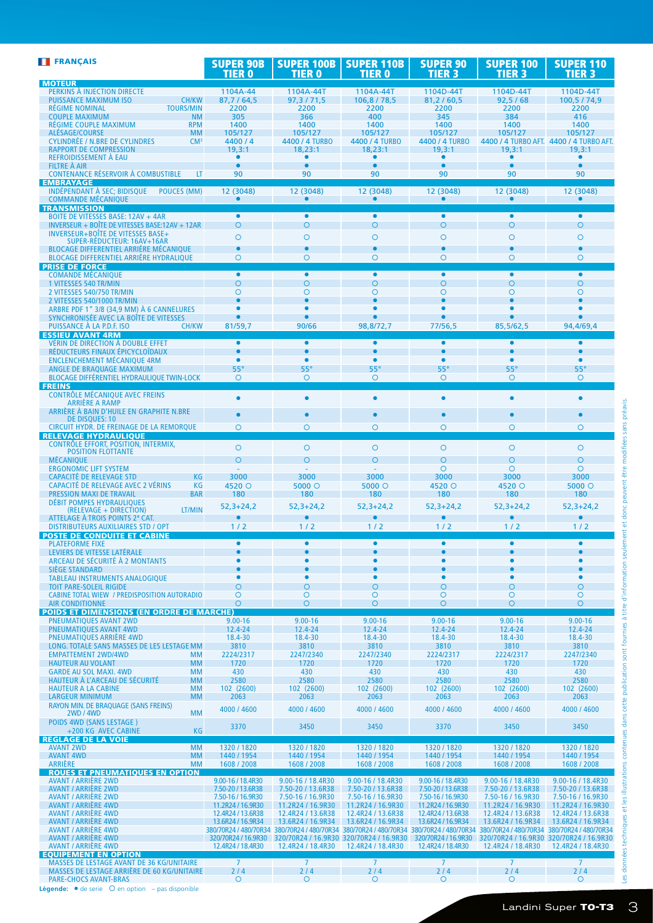| <b>II</b> FRANCAIS                                                                              | <b>SUPER 90B</b><br><b>TIER 0</b>        | <b>SUPER 100B</b><br><b>TIER 0</b>     | <b>SUPER 110B</b><br><b>TIER 0</b>                                                                                                                       | <b>SUPER 90</b><br><b>TIER 3</b>       | <b>SUPER 100</b><br><b>TIER 3</b>                            | <b>SUPER 110</b><br><b>TIER 3</b>       |
|-------------------------------------------------------------------------------------------------|------------------------------------------|----------------------------------------|----------------------------------------------------------------------------------------------------------------------------------------------------------|----------------------------------------|--------------------------------------------------------------|-----------------------------------------|
| <b>MOTEUR</b>                                                                                   | 1104A-44                                 | 1104A-44T                              | 1104A-44T                                                                                                                                                | 1104D-44T                              | 1104D-44T                                                    | 1104D-44T                               |
| PERKINS A INJECTION DIRECTE<br><b>CH/KW</b><br><b>PUISSANCE MAXIMUM ISO</b>                     | 87,7 / 64,5                              | 97,3/71,5                              | 106,8 / 78,5                                                                                                                                             | 81,2/60,5                              | 92,5/68                                                      | 100,5/74,9                              |
| RÉGIME NOMINAL<br><b>TOURS/MIN</b>                                                              | 2200                                     | 2200                                   | 2200                                                                                                                                                     | 2200                                   | 2200                                                         | 2200                                    |
| <b>COUPLE MAXIMUM</b><br><b>NM</b><br><b>RPM</b><br>RÉGIME COUPLE MAXIMUM                       | 305                                      | 366                                    | 400<br>1400                                                                                                                                              | 345                                    | 384                                                          | 416                                     |
| ALÉSAGE/COURSE<br><b>MM</b>                                                                     | 1400<br>105/127                          | 1400<br>105/127                        | 105/127                                                                                                                                                  | 1400<br>105/127                        | 1400<br>105/127                                              | 1400<br>105/127                         |
| <b>CYLINDRÉE / N.BRE DE CYLINDRES</b><br>CM <sup>3</sup>                                        | 4400/4                                   | 4400 / 4 TURBO                         | 4400 / 4 TURBO                                                                                                                                           | 4400 / 4 TURBO                         |                                                              | 4400 / 4 TURBO AFT. 4400 / 4 TURBO AFT. |
| <b>RAPPORT DE COMPRESSION</b><br>REFROIDISSEMENT À EAU                                          | 19,3:1<br>$\bullet$                      | 18,23:1<br>$\bullet$                   | 18,23:1<br>$\bullet$                                                                                                                                     | 19,3:1<br>$\bullet$                    | 19,3:1<br>٠                                                  | 19,3:1<br>$\bullet$                     |
| <b>FILTRE À AIR</b>                                                                             | $\bullet$                                | $\bullet$                              | $\bullet$                                                                                                                                                | $\bullet$                              | $\bullet$                                                    | $\bullet$                               |
| <b>CONTENANCE RÉSERVOIR À COMBUSTIBLE</b><br>LT                                                 | 90                                       | 90                                     | 90                                                                                                                                                       | 90                                     | 90                                                           | 90                                      |
| <b>EMBRAYAGE</b><br>INDÉPENDANT À SEC; BIDISQUE<br>POUCES (MM)                                  | 12 (3048)                                | 12 (3048)                              | 12 (3048)                                                                                                                                                | 12 (3048)                              | 12 (3048)                                                    | 12 (3048)                               |
| <b>COMMANDE MÉCANIQUE</b><br><b>TRANSMISSION</b>                                                | $\bullet$                                | $\bullet$                              | $\bullet$                                                                                                                                                | $\bullet$                              | $\bullet$                                                    | $\bullet$                               |
| <b>BOITE DE VITESSES BASE: 12AV + 4AR</b>                                                       | $\bullet$<br>$\circ$                     | $\bullet$<br>$\circ$                   | $\bullet$<br>$\circ$                                                                                                                                     | $\bullet$<br>$\circ$                   | $\bullet$<br>$\circ$                                         | $\bullet$<br>$\circ$                    |
| INVERSEUR + BOÎTE DE VITESSES BASE:12AV + 12AR<br>INVERSEUR+BOÎTE DE VITESSES BASE+             |                                          |                                        |                                                                                                                                                          |                                        |                                                              |                                         |
| SUPER-RÉDUCTEUR: 16AV+16AR                                                                      | $\circ$                                  | $\circ$                                | $\circ$                                                                                                                                                  | $\circ$                                | $\circ$                                                      | $\circ$                                 |
| <b>BLOCAGE DIFFERENTIEL ARRIÉRE MÉCANIQUE</b><br><b>BLOCAGE DIFFERENTIEL ARRIÉRE HYDRALIQUE</b> | $\bullet$<br>$\circ$                     | $\bullet$<br>$\circ$                   | $\bullet$<br>$\circ$                                                                                                                                     | $\bullet$<br>$\circ$                   | $\bullet$<br>$\circ$                                         | $\circ$                                 |
| <b>PRISE DE FORCE</b>                                                                           |                                          |                                        |                                                                                                                                                          |                                        |                                                              |                                         |
| <b>COMANDE MÉCANIQUE</b>                                                                        | $\bullet$                                | $\bullet$                              | $\bullet$                                                                                                                                                | $\bullet$                              | $\bullet$                                                    | $\bullet$                               |
| 1 VITESSES 540 TR/MIN<br>2 VITESSES 540/750 TR/MIN                                              | $\circ$<br>$\circ$                       | $\circ$<br>$\circ$                     | $\circ$<br>$\circ$                                                                                                                                       | $\circ$<br>$\circ$                     | O<br>$\circ$                                                 | $\circ$<br>$\circ$                      |
| 2 VITESSES 540/1000 TR/MIN                                                                      |                                          | $\bullet$                              |                                                                                                                                                          |                                        | $\bullet$                                                    | $\bullet$                               |
| ARBRE PDF 1" 3/8 (34,9 MM) A 6 CANNELURES                                                       |                                          | $\bullet$                              |                                                                                                                                                          |                                        |                                                              |                                         |
| SYNCHRONISÉE AVEC LA BOÎTE DE VITESSES<br>PUISSANCE À LA P.D.F. ISO<br><b>CH/KW</b>             | 81/59,7                                  | $\bullet$<br>90/66                     | 98.8/72.7                                                                                                                                                | 77/56,5                                | 85,5/62,5                                                    | 94,4/69,4                               |
| <b>ESSIEU AVANT 4RM</b>                                                                         |                                          |                                        |                                                                                                                                                          |                                        |                                                              |                                         |
| <b>VÉRIN DE DIRECTION À DOUBLE EFFET</b>                                                        | $\bullet$                                | $\bullet$                              | $\bullet$                                                                                                                                                | $\bullet$                              | $\bullet$                                                    | $\bullet$                               |
| RÉDUCTEURS FINAUX ÉPICYCLOÏDAUX<br><b>ENCLENCHEMENT MÉCANIQUE 4RM</b>                           | $\bullet$                                | $\bullet$<br>$\bullet$                 | ٠                                                                                                                                                        | $\bullet$                              | $\bullet$<br>$\bullet$                                       | $\bullet$<br>$\bullet$                  |
| <b>ANGLE DE BRAOUAGE MAXIMUM</b>                                                                | 55 <sup>°</sup>                          | 55°                                    | 55 <sup>°</sup>                                                                                                                                          | 55 <sup>°</sup>                        | $55^\circ$                                                   | $55^\circ$                              |
| <b>BLOCAGE DIFFÉRENTIEL HYDRAULIOUE TWIN-LOCK</b><br><b>FREINS</b>                              | $\circ$                                  | $\circ$                                | $\circ$                                                                                                                                                  | $\circ$                                | $\circ$                                                      | $\circ$                                 |
| CONTRÔLE MÉCANIQUE AVEC FREINS<br><b>ARRIERE A RAMP</b>                                         | $\bullet$                                | $\bullet$                              | $\bullet$                                                                                                                                                | $\bullet$                              | $\bullet$                                                    | $\bullet$                               |
| ARRIÈRE À BAIN D'HUILE EN GRAPHITE N.BRE                                                        |                                          | $\bullet$                              | $\bullet$                                                                                                                                                |                                        | $\bullet$                                                    |                                         |
| DE DISQUES: 10<br>CIRCUIT HYDR. DE FREINAGE DE LA REMORQUE                                      | $\circ$                                  | $\circ$                                | $\circ$                                                                                                                                                  | $\circ$                                | $\circ$                                                      | $\circ$                                 |
| <b>RELEVAGE HYDRAULIQUE</b>                                                                     |                                          |                                        |                                                                                                                                                          |                                        |                                                              |                                         |
| CONTRÖLE EFFORT, POSITION, INTERMIX,<br><b>POSITION FLOTTANTE</b>                               | $\circ$                                  | $\circ$                                | $\circ$                                                                                                                                                  | $\circ$                                | $\circ$                                                      | $\circ$                                 |
| <b>MECANIQUE</b>                                                                                | $\circ$                                  | $\circ$                                | $\circ$                                                                                                                                                  | $\circ$                                | $\circ$                                                      | $\circ$                                 |
| <b>ERGONOMIC LIFT SYSTEM</b><br>KG<br><b>CAPACITÉ DE RELEVAGE STD</b>                           | 3000                                     | 3000                                   | 3000                                                                                                                                                     | $\circ$<br>3000                        | $\circ$<br>3000                                              | $\circ$<br>3000                         |
| CAPACITÉ DE RELEVAGE AVEC 2 VÉRINS<br>KG                                                        | 4520 O                                   | 5000 O                                 | $5000$ $\circ$                                                                                                                                           | 4520 ○                                 | 4520 O                                                       | 5000 O                                  |
| <b>PRESSION MAXI DE TRAVAIL</b><br><b>BAR</b>                                                   | 180                                      | 180                                    | 180                                                                                                                                                      | 180                                    | 180                                                          | 180                                     |
| DÉBIT POMPES HYDRAULIQUES<br>LT/MIN<br>(RELEVAGE + DIRECTION)                                   | $52,3+24,2$                              | 52,3+24,2                              | $52,3+24,2$                                                                                                                                              | $52,3+24,2$                            | $52,3+24,2$                                                  | $52,3+24,2$                             |
| ATTELAGE À TROIS POINTS 2 <sup>ª</sup> CAT.<br><b>DISTRIBUTEURS AUXILIAIRES STD / OPT</b>       | 1/2                                      | $\bullet$<br>1/2                       | $\bullet$<br>1/2                                                                                                                                         | $\bullet$<br>1/2                       | $\bullet$<br>1/2                                             | $\bullet$<br>1/2                        |
| <b>POSTE DE CONDUITE ET CABINE</b><br><b>PLATEFORME FIXE</b>                                    |                                          |                                        |                                                                                                                                                          |                                        |                                                              |                                         |
| LEVIERS DE VITESSE LATÉRALE                                                                     |                                          |                                        |                                                                                                                                                          |                                        |                                                              |                                         |
| ARCEAU DE SÉCURITÉ À 2 MONTANTS                                                                 |                                          |                                        |                                                                                                                                                          |                                        |                                                              |                                         |
| SIÈGE STANDARD<br><b>TABLEAU INSTRUMENTS ANALOGIQUE</b>                                         |                                          |                                        |                                                                                                                                                          |                                        |                                                              |                                         |
| <b>TOIT PARE-SOLEIL RIGIDE</b>                                                                  | $\circ$                                  | $\circ$                                | $\overline{O}$                                                                                                                                           | $\circ$                                | Ō                                                            | Ó                                       |
| <b>CABINE TOTAL WIEW / PREDISPOSITION AUTORADIO</b>                                             | $\circ$                                  | $\circ$                                | $\circ$                                                                                                                                                  | $\circ$                                | $\circ$                                                      | $\circ$                                 |
| <b>AIR CONDITIONNE</b><br><b>POIDS ET DIMENSIONS (EN ORDRE DE MARCHE)</b>                       | $\circ$                                  | $\circ$                                | $\circ$                                                                                                                                                  | $\circ$                                | $\circ$                                                      | $\circ$                                 |
| <b>PNEUMATIQUES AVANT 2WD</b>                                                                   | $9.00 - 16$                              | $9.00 - 16$                            | $9.00 - 16$                                                                                                                                              | $9.00 - 16$                            | $9.00 - 16$                                                  | $9.00 - 16$                             |
| PNEUMATIQUES AVANT 4WD                                                                          | 12.4-24                                  | 12.4-24                                | 12.4-24                                                                                                                                                  | 12.4-24                                | 12.4-24                                                      | 12.4-24                                 |
| <b>PNEUMATIQUES ARRIÈRE 4WD</b><br>LONG. TOTALE SANS MASSES DE LES LESTAGE MM                   | 18.4-30<br>3810                          | 18.4-30<br>3810                        | 18.4-30<br>3810                                                                                                                                          | 18.4-30<br>3810                        | 18.4-30<br>3810                                              | 18.4-30<br>3810                         |
| <b>EMPATTEMENT 2WD/4WD</b><br><b>MM</b>                                                         | 2224/2317                                | 2247/2340                              | 2247/2340                                                                                                                                                | 2224/2317                              | 2224/2317                                                    | 2247/2340                               |
| <b>HAUTEUR AU VOLANT</b><br><b>MM</b>                                                           | 1720                                     | 1720                                   | 1720                                                                                                                                                     | 1720                                   | 1720                                                         | 1720                                    |
| <b>GARDE AU SOL MAXI. 4WD</b><br><b>MM</b><br>HAUTEUR À L'ARCEAU DE SÉCURITÉ<br><b>MM</b>       | 430<br>2580                              | 430<br>2580                            | 430<br>2580                                                                                                                                              | 430<br>2580                            | 430<br>2580                                                  | 430<br>2580                             |
| <b>MM</b><br><b>HAUTEUR A LA CABINE</b>                                                         | 102 (2600)                               | 102 (2600)                             | 102 (2600)                                                                                                                                               | 102 (2600)                             | 102 (2600)                                                   | 102 (2600)                              |
| <b>LARGEUR MINIMUM</b><br><b>MM</b><br>RAYON MIN. DE BRAQUAGE (SANS FREINS)                     | 2063                                     | 2063                                   | 2063                                                                                                                                                     | 2063                                   | 2063                                                         | 2063                                    |
| <b>MM</b><br><b>2WD/4WD</b>                                                                     | 4000 / 4600                              | 4000 / 4600                            | 4000 / 4600                                                                                                                                              | 4000 / 4600                            | 4000 / 4600                                                  | 4000 / 4600                             |
| POIDS 4WD (SANS LESTAGE)<br>KG<br>+200 KG AVEC CABINE                                           | 3370                                     | 3450                                   | 3450                                                                                                                                                     | 3370                                   | 3450                                                         | 3450                                    |
| <b>REGLAGE DE LA VOIE</b><br><b>MM</b>                                                          | 1320 / 1820                              | 1320 / 1820                            | 1320 / 1820                                                                                                                                              | 1320 / 1820                            | 1320 / 1820                                                  | 1320 / 1820                             |
| <b>AVANT 2WD</b><br><b>AVANT 4WD</b><br><b>MM</b>                                               | 1440 / 1954                              | 1440 / 1954                            | 1440 / 1954                                                                                                                                              | 1440 / 1954                            | 1440 / 1954                                                  | 1440 / 1954                             |
| ARRIÈRE<br><b>MM</b>                                                                            | 1608 / 2008                              | 1608 / 2008                            | 1608 / 2008                                                                                                                                              | 1608 / 2008                            | 1608 / 2008                                                  | 1608 / 2008                             |
| <b>ROUES ET PNEUMATIQUES EN OPTION</b><br><b>AVANT / ARRIÈRE 2WD</b>                            | 9.00-16 / 18.4R30                        | 9.00-16 / 18.4R30                      | 9.00-16 / 18.4R30                                                                                                                                        | 9.00-16 / 18.4R30                      | 9.00-16 / 18.4R30                                            | 9.00-16 / 18.4R30                       |
| <b>AVANT / ARRIÈRE 2WD</b>                                                                      | 7.50-20 / 13.6R38                        | 7.50-20 / 13.6R38                      | 7.50-20 / 13.6R38                                                                                                                                        | 7.50-20 / 13.6R38                      | 7.50-20 / 13.6R38                                            | 7.50-20 / 13.6R38                       |
| <b>AVANT / ARRIÈRE 2WD</b>                                                                      | 7.50-16 / 16.9R30                        | 7.50-16 / 16.9R30                      | 7.50-16 / 16.9R30                                                                                                                                        | 7.50-16 / 16.9R30                      | 7.50-16 / 16.9R30                                            | 7.50-16 / 16.9R30                       |
| <b>AVANT / ARRIERE 4WD</b><br><b>AVANT / ARRIÈRE 4WD</b>                                        | 11.2R24 / 16.9R30<br>12.4R24 / 13.6R38   | 11.2R24 / 16.9R30<br>12.4R24 / 13.6R38 | 11.2R24 / 16.9R30<br>12.4R24 / 13.6R38                                                                                                                   | 11.2R24 / 16.9R30<br>12.4R24 / 13.6R38 | 11.2R24 / 16.9R30<br>12.4R24 / 13.6R38                       | 11.2R24 / 16.9R30<br>12.4R24 / 13.6R38  |
| <b>AVANT / ARRIERE 4WD</b>                                                                      | 13.6R24 / 16.9R34                        | 13.6R24 / 16.9R34                      | 13.6R24 / 16.9R34                                                                                                                                        | 13.6R24 / 16.9R34                      | 13.6R24 / 16.9R34                                            | 13.6R24 / 16.9R34                       |
| <b>AVANT / ARRIÈRE 4WD</b><br><b>AVANT / ARRIÈRE 4WD</b>                                        |                                          |                                        | 380/70R24 / 480/70R34 380/70R24 / 480/70R34 380/70R24 / 480/70R34 380/70R24 / 480/70R34 380/70R24 / 480/70R34<br>320/70R24 / 16.9R30 320/70R24 / 16.9R30 | 320/70R24 / 16.9R30                    |                                                              | 380/70R24 / 480/70R34                   |
| <b>AVANT / ARRIÈRE 4WD</b>                                                                      | 320/70R24 / 16.9R30<br>12.4R24 / 18.4R30 | 12.4R24 / 18.4R30                      | 12.4R24 / 18.4R30                                                                                                                                        | 12.4R24 / 18.4R30                      | 320/70R24 / 16.9R30 320/70R24 / 16.9R30<br>12.4R24 / 18.4R30 | 12.4R24 / 18.4R30                       |
| <b>EQUIPEMENT EN OPTION</b>                                                                     |                                          |                                        |                                                                                                                                                          |                                        |                                                              |                                         |
| MASSES DE LESTAGE AVANT DE 36 KG/UNITAIRE<br>MASSES DE LESTAGE ARRIÈRE DE 60 KG/UNITAIRE        | $\overline{7}$<br>2/4                    | $\overline{7}$<br>$2/4$                | $\overline{7}$<br>2/4                                                                                                                                    | $\overline{7}$<br>2/4                  | $\overline{7}$<br>2/4                                        | $\overline{7}$<br>2/4                   |
| <b>PARE-CHOCS AVANT-BRAS</b>                                                                    | $\circ$                                  | $\circ$                                | $\circ$                                                                                                                                                  | O                                      | $\circ$                                                      | $\circ$                                 |

Lègende:  $\bullet$  de serie O en option – pas disponible